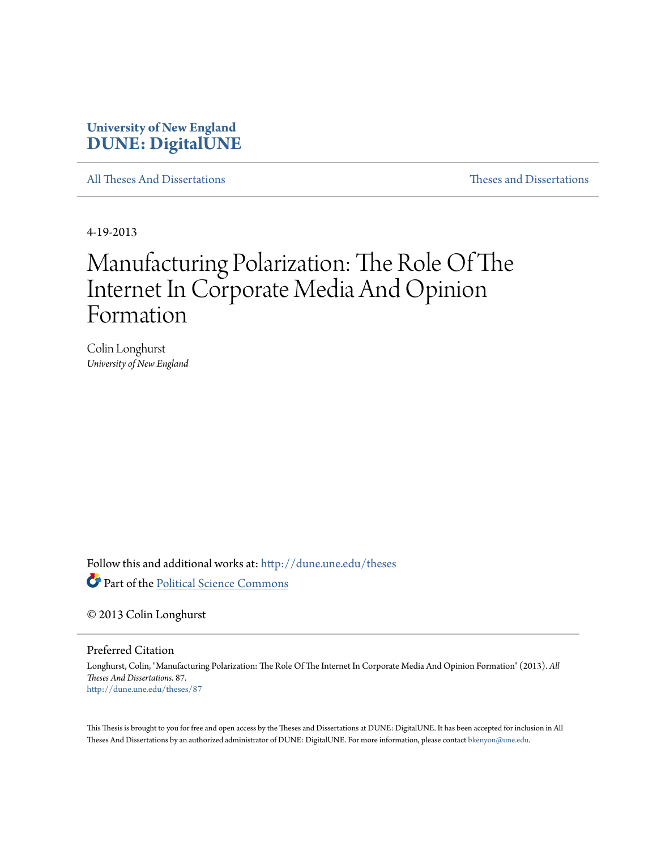## **University of New England [DUNE: DigitalUNE](http://dune.une.edu?utm_source=dune.une.edu%2Ftheses%2F87&utm_medium=PDF&utm_campaign=PDFCoverPages)**

[All Theses And Dissertations](http://dune.une.edu/theses?utm_source=dune.une.edu%2Ftheses%2F87&utm_medium=PDF&utm_campaign=PDFCoverPages) [Theses and Dissertations](http://dune.une.edu/theses_dissertations?utm_source=dune.une.edu%2Ftheses%2F87&utm_medium=PDF&utm_campaign=PDFCoverPages)

4-19-2013

# Manufacturing Polarization: The Role Of The Internet In Corporate Media And Opinion Formation

Colin Longhurst *University of New England*

Follow this and additional works at: [http://dune.une.edu/theses](http://dune.une.edu/theses?utm_source=dune.une.edu%2Ftheses%2F87&utm_medium=PDF&utm_campaign=PDFCoverPages)

Part of the [Political Science Commons](http://network.bepress.com/hgg/discipline/386?utm_source=dune.une.edu%2Ftheses%2F87&utm_medium=PDF&utm_campaign=PDFCoverPages)

© 2013 Colin Longhurst

Preferred Citation

Longhurst, Colin, "Manufacturing Polarization: The Role Of The Internet In Corporate Media And Opinion Formation" (2013). *All Theses And Dissertations*. 87. [http://dune.une.edu/theses/87](http://dune.une.edu/theses/87?utm_source=dune.une.edu%2Ftheses%2F87&utm_medium=PDF&utm_campaign=PDFCoverPages)

This Thesis is brought to you for free and open access by the Theses and Dissertations at DUNE: DigitalUNE. It has been accepted for inclusion in All Theses And Dissertations by an authorized administrator of DUNE: DigitalUNE. For more information, please contact [bkenyon@une.edu.](mailto:bkenyon@une.edu)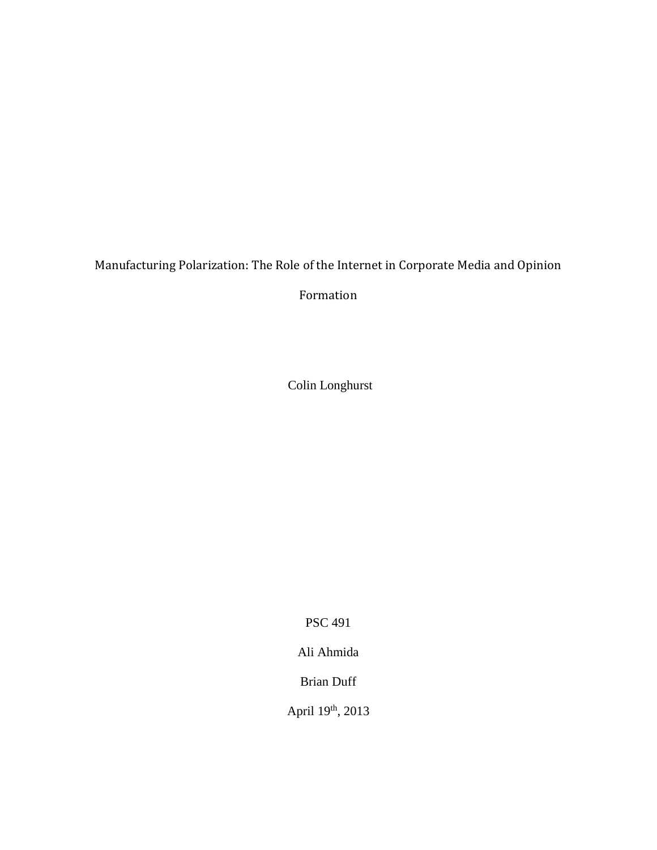Manufacturing Polarization: The Role of the Internet in Corporate Media and Opinion

Formation

Colin Longhurst

PSC 491

Ali Ahmida

Brian Duff

April 19<sup>th</sup>, 2013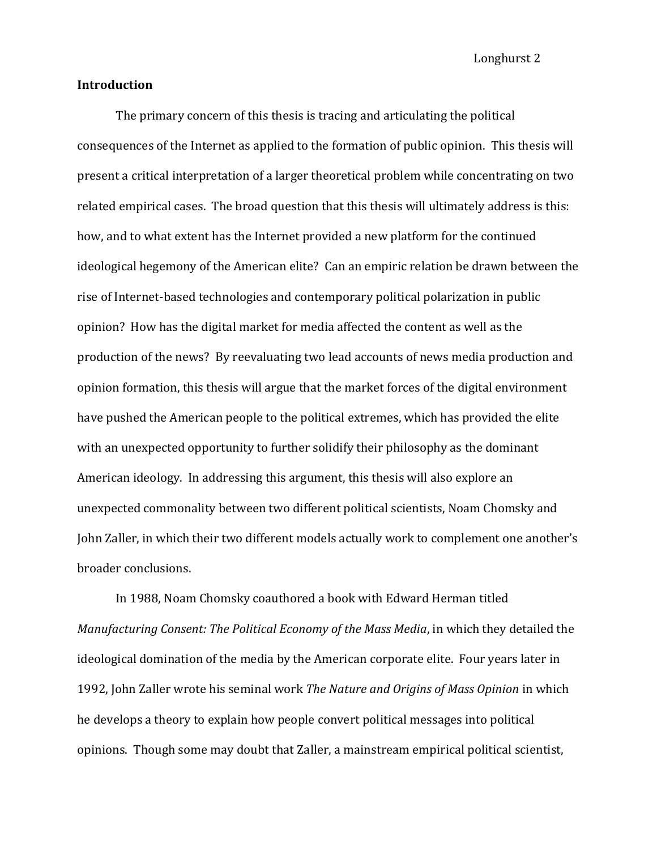## **Introduction**

The primary concern of this thesis is tracing and articulating the political consequences of the Internet as applied to the formation of public opinion. This thesis will present a critical interpretation of a larger theoretical problem while concentrating on two related empirical cases. The broad question that this thesis will ultimately address is this: how, and to what extent has the Internet provided a new platform for the continued ideological hegemony of the American elite? Can an empiric relation be drawn between the rise of Internet-based technologies and contemporary political polarization in public opinion? How has the digital market for media affected the content as well as the production of the news? By reevaluating two lead accounts of news media production and opinion formation, this thesis will argue that the market forces of the digital environment have pushed the American people to the political extremes, which has provided the elite with an unexpected opportunity to further solidify their philosophy as the dominant American ideology. In addressing this argument, this thesis will also explore an unexpected commonality between two different political scientists, Noam Chomsky and John Zaller, in which their two different models actually work to complement one another's broader conclusions.

In 1988, Noam Chomsky coauthored a book with Edward Herman titled *Manufacturing Consent: The Political Economy of the Mass Media*, in which they detailed the ideological domination of the media by the American corporate elite. Four years later in 1992, John Zaller wrote his seminal work *The Nature and Origins of Mass Opinion* in which he develops a theory to explain how people convert political messages into political opinions. Though some may doubt that Zaller, a mainstream empirical political scientist,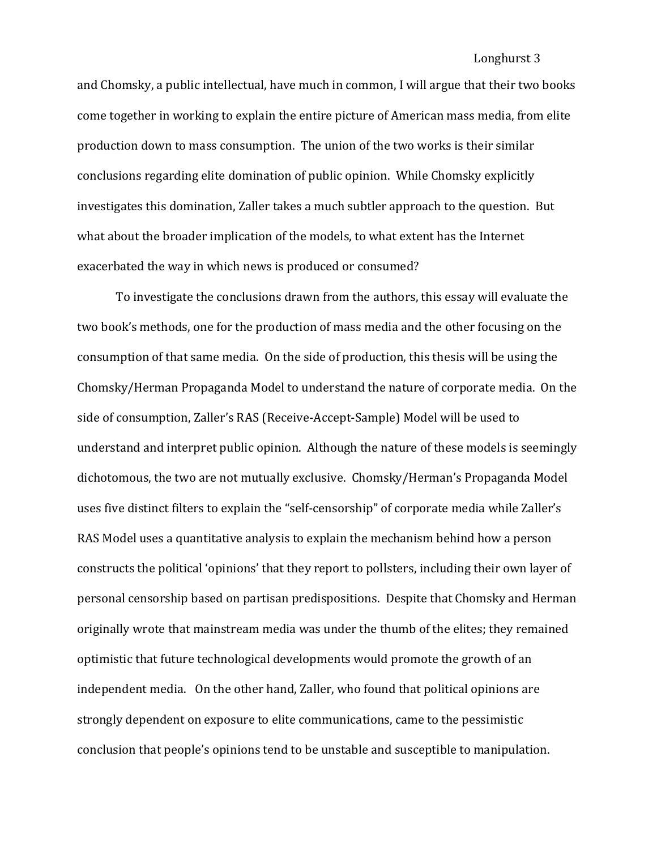and Chomsky, a public intellectual, have much in common, I will argue that their two books come together in working to explain the entire picture of American mass media, from elite production down to mass consumption. The union of the two works is their similar conclusions regarding elite domination of public opinion. While Chomsky explicitly investigates this domination, Zaller takes a much subtler approach to the question. But what about the broader implication of the models, to what extent has the Internet exacerbated the way in which news is produced or consumed?

To investigate the conclusions drawn from the authors, this essay will evaluate the two book's methods, one for the production of mass media and the other focusing on the consumption of that same media. On the side of production, this thesis will be using the Chomsky/Herman Propaganda Model to understand the nature of corporate media. On the side of consumption, Zaller's RAS (Receive-Accept-Sample) Model will be used to understand and interpret public opinion. Although the nature of these models is seemingly dichotomous, the two are not mutually exclusive. Chomsky/Herman's Propaganda Model uses five distinct filters to explain the "self-censorship" of corporate media while Zaller's RAS Model uses a quantitative analysis to explain the mechanism behind how a person constructs the political 'opinions' that they report to pollsters, including their own layer of personal censorship based on partisan predispositions. Despite that Chomsky and Herman originally wrote that mainstream media was under the thumb of the elites; they remained optimistic that future technological developments would promote the growth of an independent media. On the other hand, Zaller, who found that political opinions are strongly dependent on exposure to elite communications, came to the pessimistic conclusion that people's opinions tend to be unstable and susceptible to manipulation.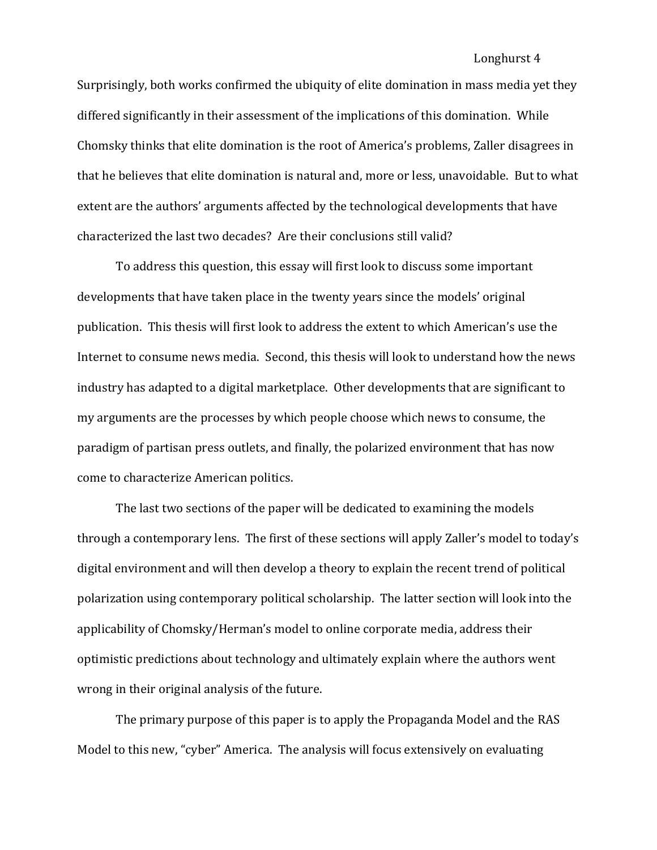Surprisingly, both works confirmed the ubiquity of elite domination in mass media yet they differed significantly in their assessment of the implications of this domination. While Chomsky thinks that elite domination is the root of America's problems, Zaller disagrees in that he believes that elite domination is natural and, more or less, unavoidable. But to what extent are the authors' arguments affected by the technological developments that have characterized the last two decades? Are their conclusions still valid?

To address this question, this essay will first look to discuss some important developments that have taken place in the twenty years since the models' original publication. This thesis will first look to address the extent to which American's use the Internet to consume news media. Second, this thesis will look to understand how the news industry has adapted to a digital marketplace. Other developments that are significant to my arguments are the processes by which people choose which news to consume, the paradigm of partisan press outlets, and finally, the polarized environment that has now come to characterize American politics.

The last two sections of the paper will be dedicated to examining the models through a contemporary lens. The first of these sections will apply Zaller's model to today's digital environment and will then develop a theory to explain the recent trend of political polarization using contemporary political scholarship. The latter section will look into the applicability of Chomsky/Herman's model to online corporate media, address their optimistic predictions about technology and ultimately explain where the authors went wrong in their original analysis of the future.

The primary purpose of this paper is to apply the Propaganda Model and the RAS Model to this new, "cyber" America. The analysis will focus extensively on evaluating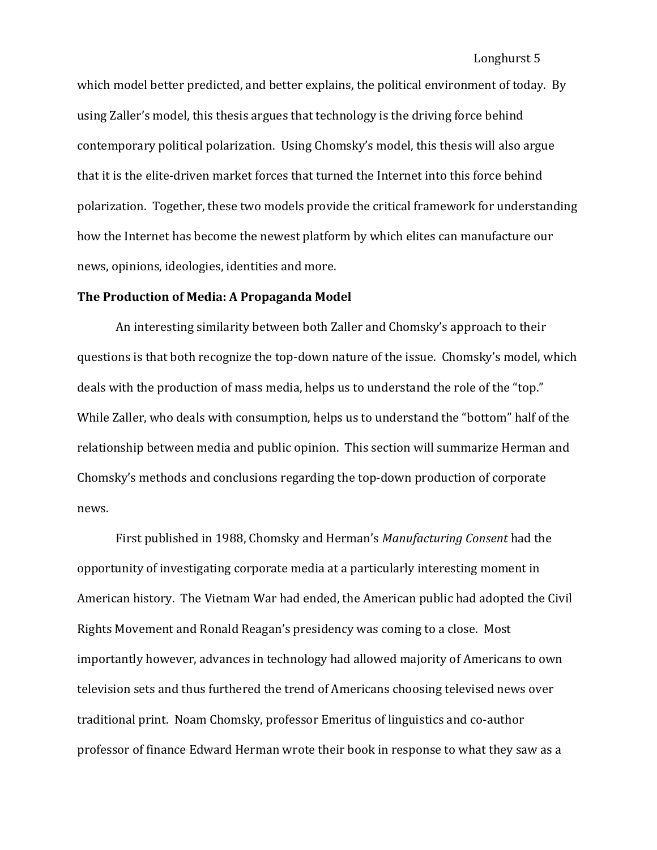which model better predicted, and better explains, the political environment of today. By using Zaller's model, this thesis argues that technology is the driving force behind contemporary political polarization. Using Chomsky's model, this thesis will also argue that it is the elite-driven market forces that turned the Internet into this force behind polarization. Together, these two models provide the critical framework for understanding how the Internet has become the newest platform by which elites can manufacture our news, opinions, ideologies, identities and more.

## **The Production of Media: A Propaganda Model**

An interesting similarity between both Zaller and Chomsky's approach to their questions is that both recognize the top-down nature of the issue. Chomsky's model, which deals with the production of mass media, helps us to understand the role of the "top." While Zaller, who deals with consumption, helps us to understand the "bottom" half of the relationship between media and public opinion. This section will summarize Herman and Chomsky's methods and conclusions regarding the top-down production of corporate news.

First published in 1988, Chomsky and Herman's *Manufacturing Consent* had the opportunity of investigating corporate media at a particularly interesting moment in American history. The Vietnam War had ended, the American public had adopted the Civil Rights Movement and Ronald Reagan's presidency was coming to a close. Most importantly however, advances in technology had allowed majority of Americans to own television sets and thus furthered the trend of Americans choosing televised news over traditional print. Noam Chomsky, professor Emeritus of linguistics and co-author professor of finance Edward Herman wrote their book in response to what they saw as a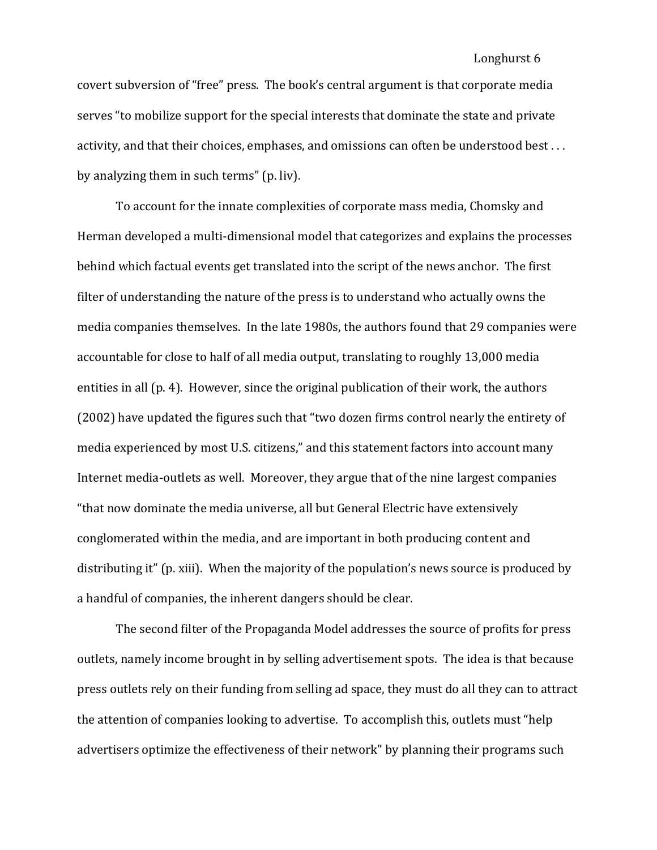covert subversion of "free" press. The book's central argument is that corporate media serves "to mobilize support for the special interests that dominate the state and private activity, and that their choices, emphases, and omissions can often be understood best . . . by analyzing them in such terms" (p. liv).

To account for the innate complexities of corporate mass media, Chomsky and Herman developed a multi-dimensional model that categorizes and explains the processes behind which factual events get translated into the script of the news anchor. The first filter of understanding the nature of the press is to understand who actually owns the media companies themselves. In the late 1980s, the authors found that 29 companies were accountable for close to half of all media output, translating to roughly 13,000 media entities in all (p. 4). However, since the original publication of their work, the authors (2002) have updated the figures such that "two dozen firms control nearly the entirety of media experienced by most U.S. citizens," and this statement factors into account many Internet media-outlets as well. Moreover, they argue that of the nine largest companies "that now dominate the media universe, all but General Electric have extensively conglomerated within the media, and are important in both producing content and distributing it" (p. xiii). When the majority of the population's news source is produced by a handful of companies, the inherent dangers should be clear.

The second filter of the Propaganda Model addresses the source of profits for press outlets, namely income brought in by selling advertisement spots. The idea is that because press outlets rely on their funding from selling ad space, they must do all they can to attract the attention of companies looking to advertise. To accomplish this, outlets must "help advertisers optimize the effectiveness of their network" by planning their programs such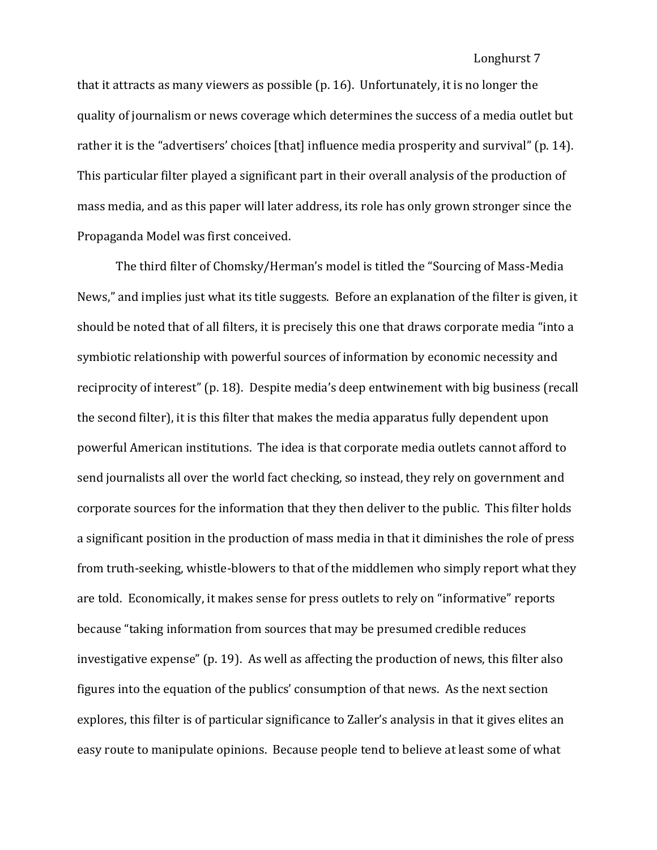that it attracts as many viewers as possible (p. 16). Unfortunately, it is no longer the quality of journalism or news coverage which determines the success of a media outlet but rather it is the "advertisers' choices [that] influence media prosperity and survival" (p. 14). This particular filter played a significant part in their overall analysis of the production of mass media, and as this paper will later address, its role has only grown stronger since the Propaganda Model was first conceived.

The third filter of Chomsky/Herman's model is titled the "Sourcing of Mass-Media News," and implies just what its title suggests. Before an explanation of the filter is given, it should be noted that of all filters, it is precisely this one that draws corporate media "into a symbiotic relationship with powerful sources of information by economic necessity and reciprocity of interest" (p. 18). Despite media's deep entwinement with big business (recall the second filter), it is this filter that makes the media apparatus fully dependent upon powerful American institutions. The idea is that corporate media outlets cannot afford to send journalists all over the world fact checking, so instead, they rely on government and corporate sources for the information that they then deliver to the public. This filter holds a significant position in the production of mass media in that it diminishes the role of press from truth-seeking, whistle-blowers to that of the middlemen who simply report what they are told. Economically, it makes sense for press outlets to rely on "informative" reports because "taking information from sources that may be presumed credible reduces investigative expense" (p. 19). As well as affecting the production of news, this filter also figures into the equation of the publics' consumption of that news. As the next section explores, this filter is of particular significance to Zaller's analysis in that it gives elites an easy route to manipulate opinions. Because people tend to believe at least some of what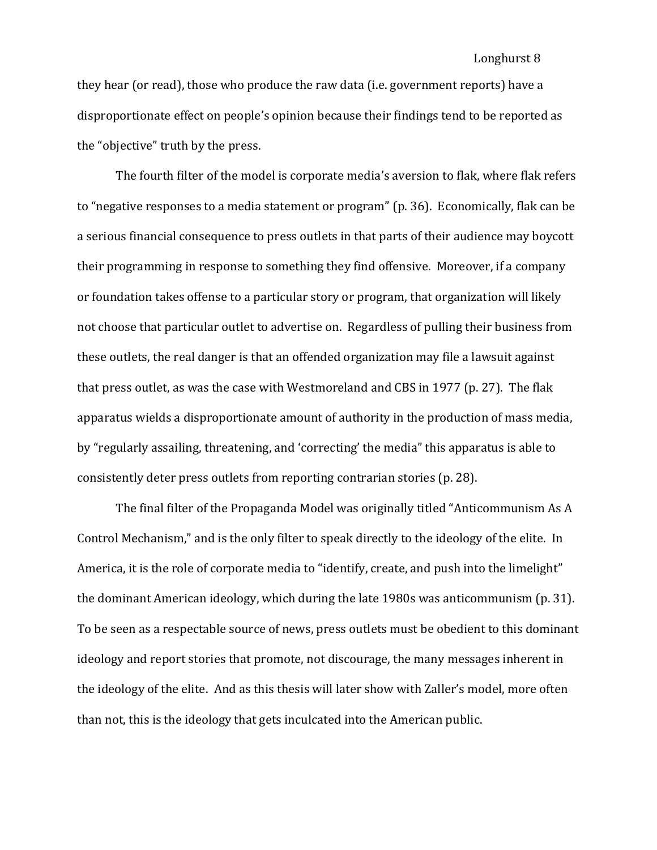they hear (or read), those who produce the raw data (i.e. government reports) have a disproportionate effect on people's opinion because their findings tend to be reported as the "objective" truth by the press.

The fourth filter of the model is corporate media's aversion to flak, where flak refers to "negative responses to a media statement or program" (p. 36). Economically, flak can be a serious financial consequence to press outlets in that parts of their audience may boycott their programming in response to something they find offensive. Moreover, if a company or foundation takes offense to a particular story or program, that organization will likely not choose that particular outlet to advertise on. Regardless of pulling their business from these outlets, the real danger is that an offended organization may file a lawsuit against that press outlet, as was the case with Westmoreland and CBS in 1977 (p. 27). The flak apparatus wields a disproportionate amount of authority in the production of mass media, by "regularly assailing, threatening, and 'correcting' the media" this apparatus is able to consistently deter press outlets from reporting contrarian stories (p. 28).

The final filter of the Propaganda Model was originally titled "Anticommunism As A Control Mechanism," and is the only filter to speak directly to the ideology of the elite. In America, it is the role of corporate media to "identify, create, and push into the limelight" the dominant American ideology, which during the late 1980s was anticommunism (p. 31). To be seen as a respectable source of news, press outlets must be obedient to this dominant ideology and report stories that promote, not discourage, the many messages inherent in the ideology of the elite. And as this thesis will later show with Zaller's model, more often than not, this is the ideology that gets inculcated into the American public.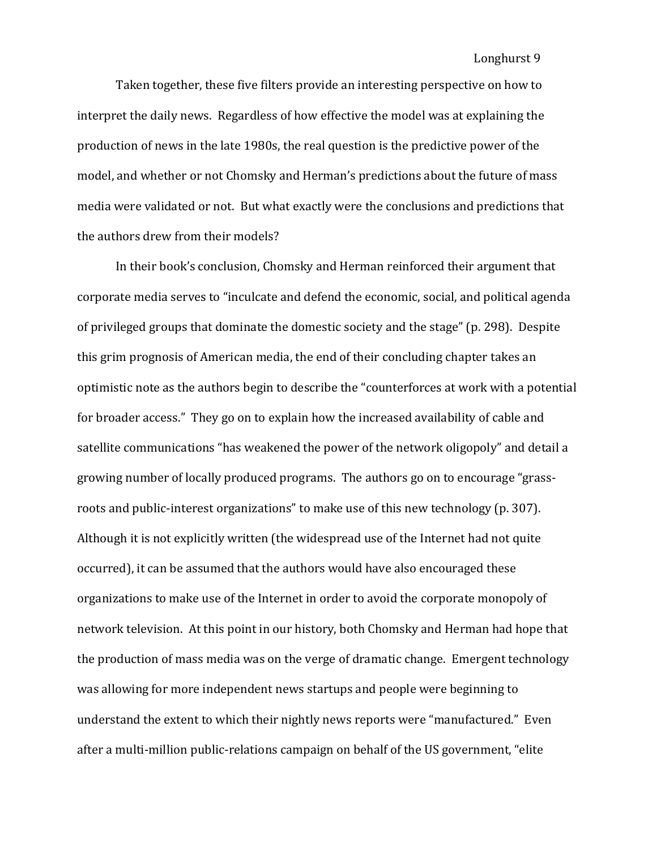Taken together, these five filters provide an interesting perspective on how to interpret the daily news. Regardless of how effective the model was at explaining the production of news in the late 1980s, the real question is the predictive power of the model, and whether or not Chomsky and Herman's predictions about the future of mass media were validated or not. But what exactly were the conclusions and predictions that the authors drew from their models?

In their book's conclusion, Chomsky and Herman reinforced their argument that corporate media serves to "inculcate and defend the economic, social, and political agenda of privileged groups that dominate the domestic society and the stage" (p. 298). Despite this grim prognosis of American media, the end of their concluding chapter takes an optimistic note as the authors begin to describe the "counterforces at work with a potential for broader access." They go on to explain how the increased availability of cable and satellite communications "has weakened the power of the network oligopoly" and detail a growing number of locally produced programs. The authors go on to encourage "grassroots and public-interest organizations" to make use of this new technology (p. 307). Although it is not explicitly written (the widespread use of the Internet had not quite occurred), it can be assumed that the authors would have also encouraged these organizations to make use of the Internet in order to avoid the corporate monopoly of network television. At this point in our history, both Chomsky and Herman had hope that the production of mass media was on the verge of dramatic change. Emergent technology was allowing for more independent news startups and people were beginning to understand the extent to which their nightly news reports were "manufactured." Even after a multi-million public-relations campaign on behalf of the US government, "elite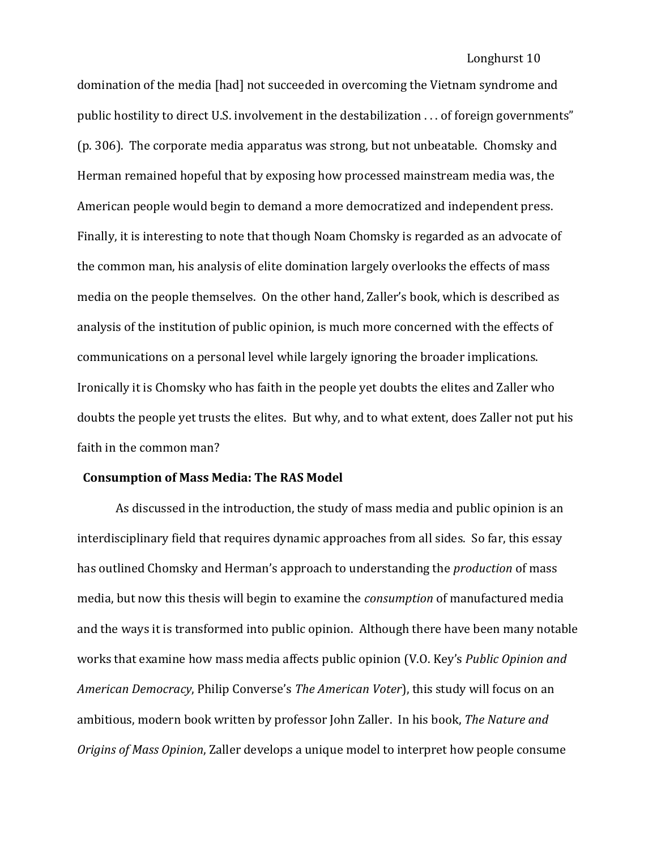domination of the media [had] not succeeded in overcoming the Vietnam syndrome and public hostility to direct U.S. involvement in the destabilization . . . of foreign governments" (p. 306). The corporate media apparatus was strong, but not unbeatable. Chomsky and Herman remained hopeful that by exposing how processed mainstream media was, the American people would begin to demand a more democratized and independent press. Finally, it is interesting to note that though Noam Chomsky is regarded as an advocate of the common man, his analysis of elite domination largely overlooks the effects of mass media on the people themselves. On the other hand, Zaller's book, which is described as analysis of the institution of public opinion, is much more concerned with the effects of communications on a personal level while largely ignoring the broader implications. Ironically it is Chomsky who has faith in the people yet doubts the elites and Zaller who doubts the people yet trusts the elites. But why, and to what extent, does Zaller not put his faith in the common man?

## **Consumption of Mass Media: The RAS Model**

As discussed in the introduction, the study of mass media and public opinion is an interdisciplinary field that requires dynamic approaches from all sides. So far, this essay has outlined Chomsky and Herman's approach to understanding the *production* of mass media, but now this thesis will begin to examine the *consumption* of manufactured media and the ways it is transformed into public opinion. Although there have been many notable works that examine how mass media affects public opinion (V.O. Key's *Public Opinion and American Democracy*, Philip Converse's *The American Voter*), this study will focus on an ambitious, modern book written by professor John Zaller. In his book, *The Nature and Origins of Mass Opinion*, Zaller develops a unique model to interpret how people consume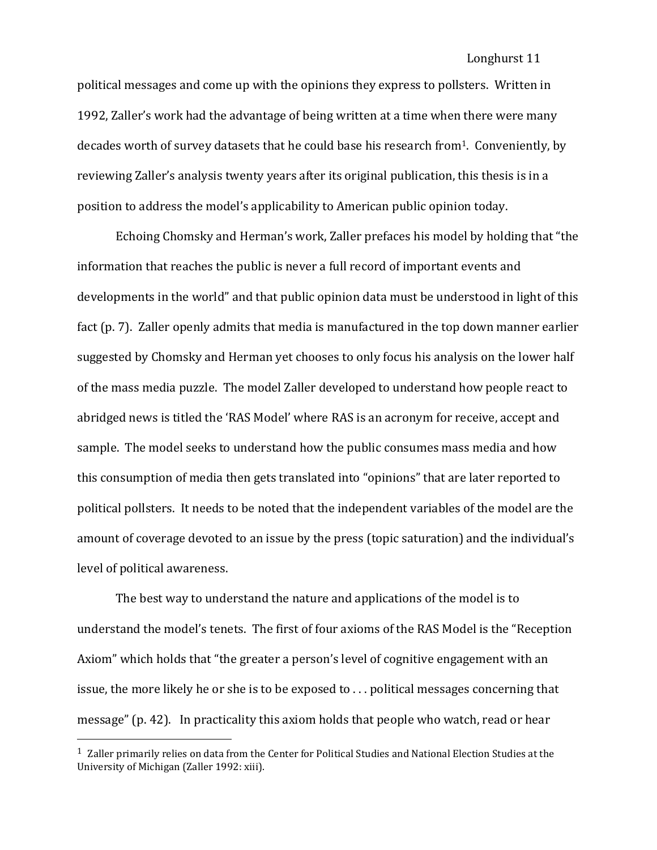political messages and come up with the opinions they express to pollsters. Written in 1992, Zaller's work had the advantage of being written at a time when there were many decades worth of survey datasets that he could base his research from<sup>1</sup>. Conveniently, by reviewing Zaller's analysis twenty years after its original publication, this thesis is in a position to address the model's applicability to American public opinion today.

Echoing Chomsky and Herman's work, Zaller prefaces his model by holding that "the information that reaches the public is never a full record of important events and developments in the world" and that public opinion data must be understood in light of this fact (p. 7). Zaller openly admits that media is manufactured in the top down manner earlier suggested by Chomsky and Herman yet chooses to only focus his analysis on the lower half of the mass media puzzle. The model Zaller developed to understand how people react to abridged news is titled the 'RAS Model' where RAS is an acronym for receive, accept and sample. The model seeks to understand how the public consumes mass media and how this consumption of media then gets translated into "opinions" that are later reported to political pollsters. It needs to be noted that the independent variables of the model are the amount of coverage devoted to an issue by the press (topic saturation) and the individual's level of political awareness.

The best way to understand the nature and applications of the model is to understand the model's tenets. The first of four axioms of the RAS Model is the "Reception Axiom" which holds that "the greater a person's level of cognitive engagement with an issue, the more likely he or she is to be exposed to . . . political messages concerning that message" (p. 42). In practicality this axiom holds that people who watch, read or hear

 $\overline{\phantom{a}}$ 

<sup>1</sup> Zaller primarily relies on data from the Center for Political Studies and National Election Studies at the University of Michigan (Zaller 1992: xiii).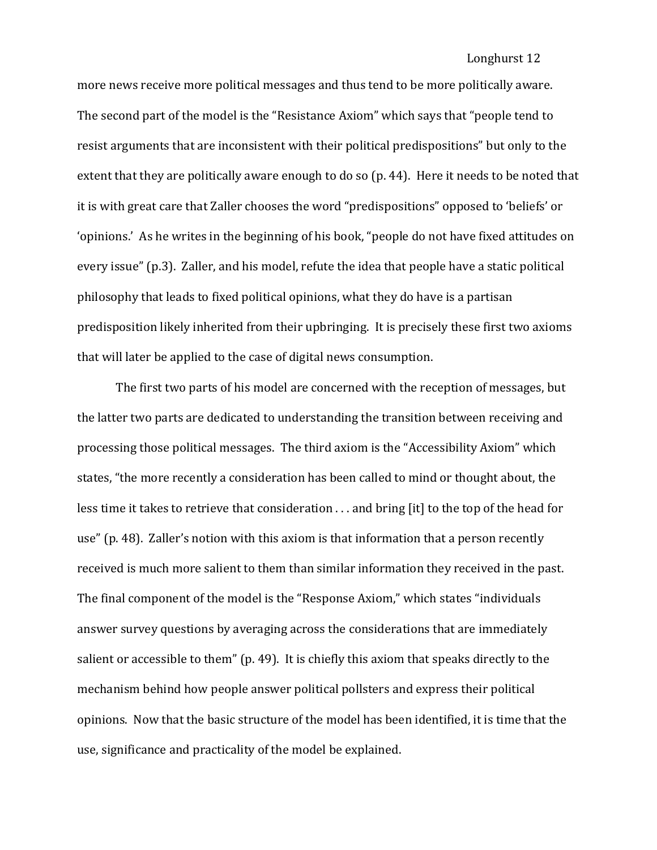more news receive more political messages and thus tend to be more politically aware. The second part of the model is the "Resistance Axiom" which says that "people tend to resist arguments that are inconsistent with their political predispositions" but only to the extent that they are politically aware enough to do so (p. 44). Here it needs to be noted that it is with great care that Zaller chooses the word "predispositions" opposed to 'beliefs' or 'opinions.' As he writes in the beginning of his book, "people do not have fixed attitudes on every issue" (p.3). Zaller, and his model, refute the idea that people have a static political philosophy that leads to fixed political opinions, what they do have is a partisan predisposition likely inherited from their upbringing. It is precisely these first two axioms that will later be applied to the case of digital news consumption.

The first two parts of his model are concerned with the reception of messages, but the latter two parts are dedicated to understanding the transition between receiving and processing those political messages. The third axiom is the "Accessibility Axiom" which states, "the more recently a consideration has been called to mind or thought about, the less time it takes to retrieve that consideration . . . and bring [it] to the top of the head for use" (p. 48). Zaller's notion with this axiom is that information that a person recently received is much more salient to them than similar information they received in the past. The final component of the model is the "Response Axiom," which states "individuals answer survey questions by averaging across the considerations that are immediately salient or accessible to them" (p. 49). It is chiefly this axiom that speaks directly to the mechanism behind how people answer political pollsters and express their political opinions. Now that the basic structure of the model has been identified, it is time that the use, significance and practicality of the model be explained.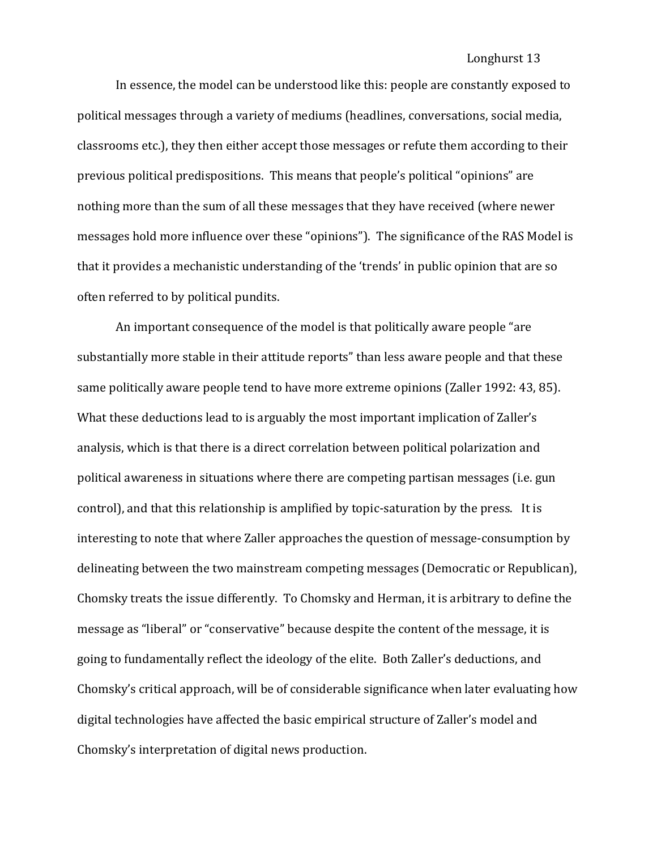In essence, the model can be understood like this: people are constantly exposed to political messages through a variety of mediums (headlines, conversations, social media, classrooms etc.), they then either accept those messages or refute them according to their previous political predispositions. This means that people's political "opinions" are nothing more than the sum of all these messages that they have received (where newer messages hold more influence over these "opinions"). The significance of the RAS Model is that it provides a mechanistic understanding of the 'trends' in public opinion that are so often referred to by political pundits.

An important consequence of the model is that politically aware people "are substantially more stable in their attitude reports" than less aware people and that these same politically aware people tend to have more extreme opinions (Zaller 1992: 43, 85). What these deductions lead to is arguably the most important implication of Zaller's analysis, which is that there is a direct correlation between political polarization and political awareness in situations where there are competing partisan messages (i.e. gun control), and that this relationship is amplified by topic-saturation by the press. It is interesting to note that where Zaller approaches the question of message-consumption by delineating between the two mainstream competing messages (Democratic or Republican), Chomsky treats the issue differently. To Chomsky and Herman, it is arbitrary to define the message as "liberal" or "conservative" because despite the content of the message, it is going to fundamentally reflect the ideology of the elite. Both Zaller's deductions, and Chomsky's critical approach, will be of considerable significance when later evaluating how digital technologies have affected the basic empirical structure of Zaller's model and Chomsky's interpretation of digital news production.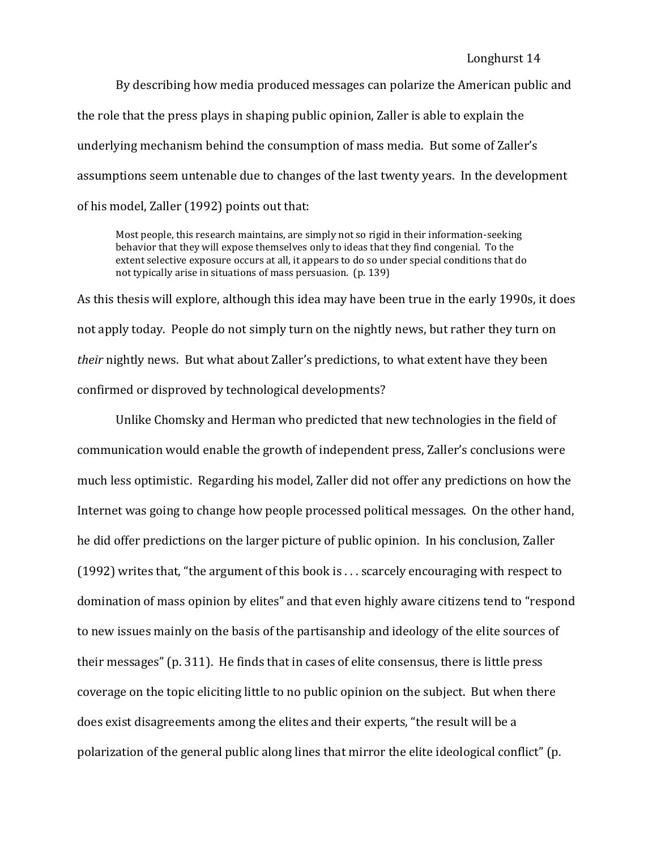By describing how media produced messages can polarize the American public and the role that the press plays in shaping public opinion, Zaller is able to explain the underlying mechanism behind the consumption of mass media. But some of Zaller's assumptions seem untenable due to changes of the last twenty years. In the development of his model, Zaller (1992) points out that:

Most people, this research maintains, are simply not so rigid in their information-seeking behavior that they will expose themselves only to ideas that they find congenial. To the extent selective exposure occurs at all, it appears to do so under special conditions that do not typically arise in situations of mass persuasion. (p. 139)

As this thesis will explore, although this idea may have been true in the early 1990s, it does not apply today. People do not simply turn on the nightly news, but rather they turn on *their* nightly news. But what about Zaller's predictions, to what extent have they been confirmed or disproved by technological developments?

Unlike Chomsky and Herman who predicted that new technologies in the field of communication would enable the growth of independent press, Zaller's conclusions were much less optimistic. Regarding his model, Zaller did not offer any predictions on how the Internet was going to change how people processed political messages. On the other hand, he did offer predictions on the larger picture of public opinion. In his conclusion, Zaller (1992) writes that, "the argument of this book is . . . scarcely encouraging with respect to domination of mass opinion by elites" and that even highly aware citizens tend to "respond to new issues mainly on the basis of the partisanship and ideology of the elite sources of their messages" (p. 311). He finds that in cases of elite consensus, there is little press coverage on the topic eliciting little to no public opinion on the subject. But when there does exist disagreements among the elites and their experts, "the result will be a polarization of the general public along lines that mirror the elite ideological conflict" (p.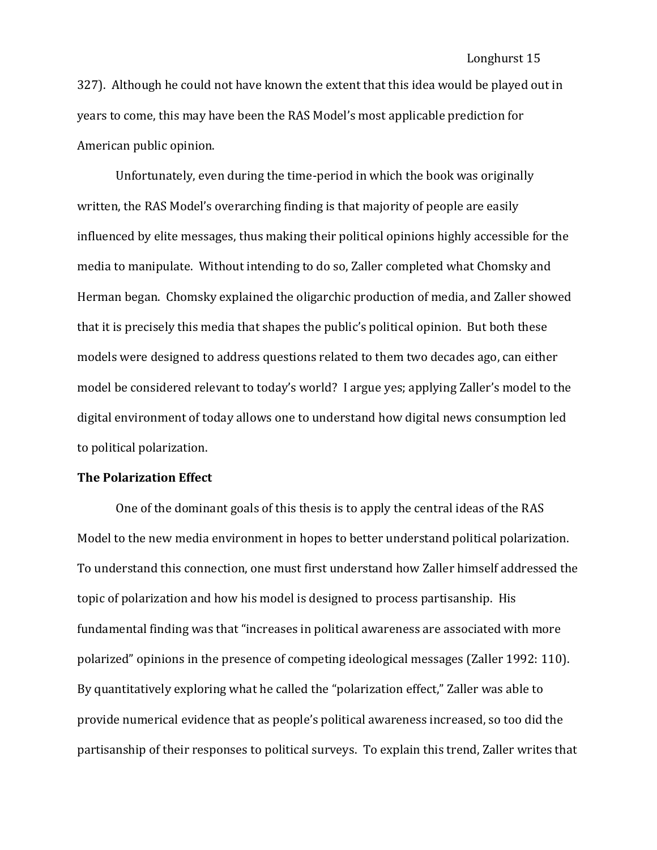327). Although he could not have known the extent that this idea would be played out in years to come, this may have been the RAS Model's most applicable prediction for American public opinion.

Unfortunately, even during the time-period in which the book was originally written, the RAS Model's overarching finding is that majority of people are easily influenced by elite messages, thus making their political opinions highly accessible for the media to manipulate. Without intending to do so, Zaller completed what Chomsky and Herman began. Chomsky explained the oligarchic production of media, and Zaller showed that it is precisely this media that shapes the public's political opinion. But both these models were designed to address questions related to them two decades ago, can either model be considered relevant to today's world? I argue yes; applying Zaller's model to the digital environment of today allows one to understand how digital news consumption led to political polarization.

## **The Polarization Effect**

One of the dominant goals of this thesis is to apply the central ideas of the RAS Model to the new media environment in hopes to better understand political polarization. To understand this connection, one must first understand how Zaller himself addressed the topic of polarization and how his model is designed to process partisanship. His fundamental finding was that "increases in political awareness are associated with more polarized" opinions in the presence of competing ideological messages (Zaller 1992: 110). By quantitatively exploring what he called the "polarization effect," Zaller was able to provide numerical evidence that as people's political awareness increased, so too did the partisanship of their responses to political surveys. To explain this trend, Zaller writes that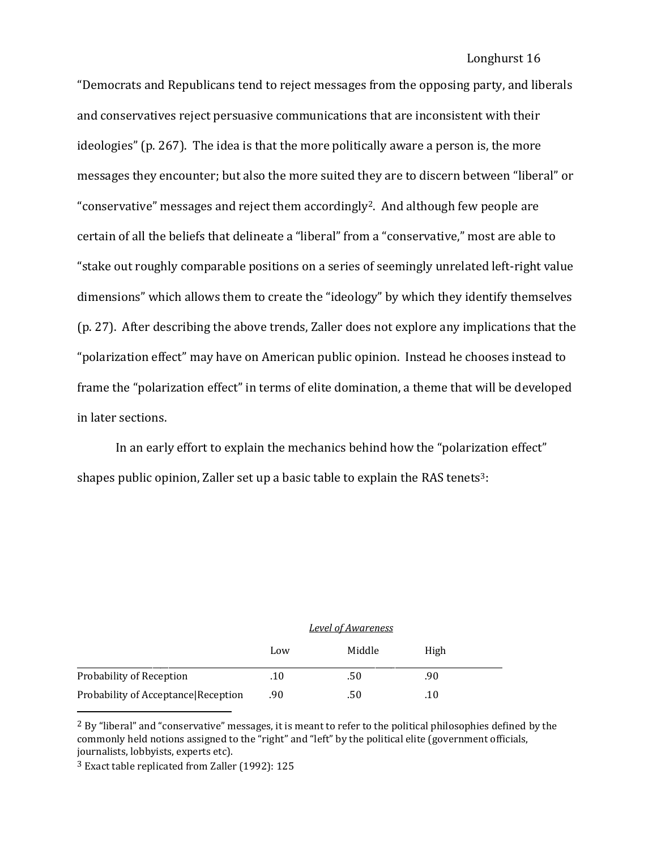"Democrats and Republicans tend to reject messages from the opposing party, and liberals and conservatives reject persuasive communications that are inconsistent with their ideologies" (p. 267). The idea is that the more politically aware a person is, the more messages they encounter; but also the more suited they are to discern between "liberal" or "conservative" messages and reject them accordingly2. And although few people are certain of all the beliefs that delineate a "liberal" from a "conservative," most are able to "stake out roughly comparable positions on a series of seemingly unrelated left-right value dimensions" which allows them to create the "ideology" by which they identify themselves (p. 27). After describing the above trends, Zaller does not explore any implications that the "polarization effect" may have on American public opinion. Instead he chooses instead to frame the "polarization effect" in terms of elite domination, a theme that will be developed in later sections.

In an early effort to explain the mechanics behind how the "polarization effect" shapes public opinion, Zaller set up a basic table to explain the RAS tenets<sup>3</sup>:

|                                     | <b>Level of Awareness</b> |        |      |  |  |
|-------------------------------------|---------------------------|--------|------|--|--|
|                                     | Low                       | Middle | High |  |  |
| <b>Probability of Reception</b>     | .10                       | .50    | .90  |  |  |
| Probability of Acceptance Reception | .90                       | .50    | .10  |  |  |

<sup>&</sup>lt;sup>2</sup> By "liberal" and "conservative" messages, it is meant to refer to the political philosophies defined by the commonly held notions assigned to the "right" and "left" by the political elite (government officials, journalists, lobbyists, experts etc).

 $\overline{\phantom{a}}$ 

<sup>3</sup> Exact table replicated from Zaller (1992): 125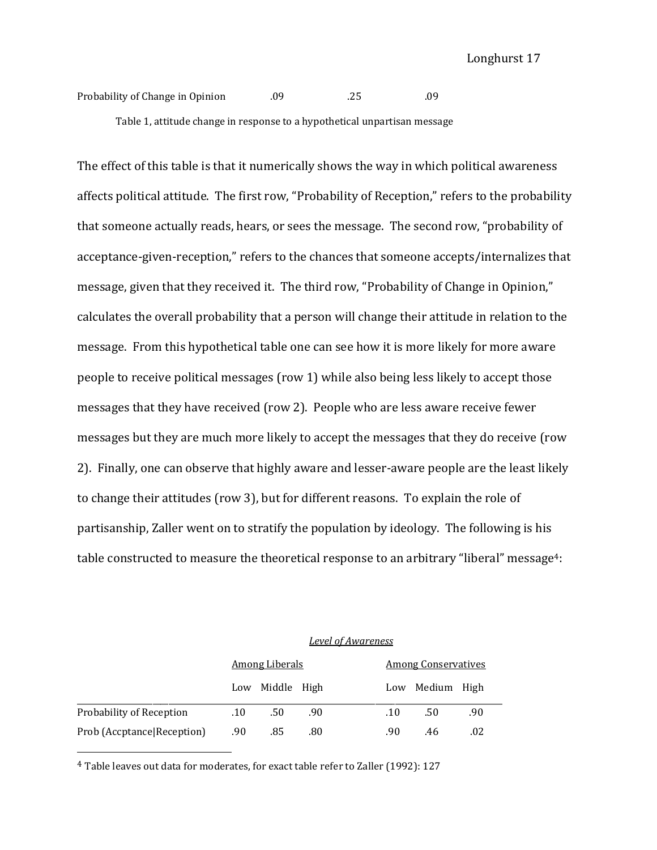Probability of Change in Opinion .09 .25 .09 Table 1, attitude change in response to a hypothetical unpartisan message

The effect of this table is that it numerically shows the way in which political awareness affects political attitude. The first row, "Probability of Reception," refers to the probability that someone actually reads, hears, or sees the message. The second row, "probability of acceptance-given-reception," refers to the chances that someone accepts/internalizes that message, given that they received it. The third row, "Probability of Change in Opinion," calculates the overall probability that a person will change their attitude in relation to the message. From this hypothetical table one can see how it is more likely for more aware people to receive political messages (row 1) while also being less likely to accept those messages that they have received (row 2). People who are less aware receive fewer messages but they are much more likely to accept the messages that they do receive (row 2). Finally, one can observe that highly aware and lesser-aware people are the least likely to change their attitudes (row 3), but for different reasons. To explain the role of partisanship, Zaller went on to stratify the population by ideology. The following is his table constructed to measure the theoretical response to an arbitrary "liberal" message<sup>4</sup>:

| Level of Awareliess   |     |     |             |     |     |     |                                           |
|-----------------------|-----|-----|-------------|-----|-----|-----|-------------------------------------------|
| <b>Among Liberals</b> |     |     |             |     |     |     |                                           |
| Low                   |     |     |             | Low |     |     |                                           |
| .10                   | .50 | .90 |             | .10 | .50 | .90 |                                           |
| .90                   | .85 | .80 |             | .90 | .46 | .02 |                                           |
|                       |     |     | Middle High |     |     |     | <b>Among Conservatives</b><br>Medium High |

*Level of Awareness*

4 Table leaves out data for moderates, for exact table refer to Zaller (1992): 127

l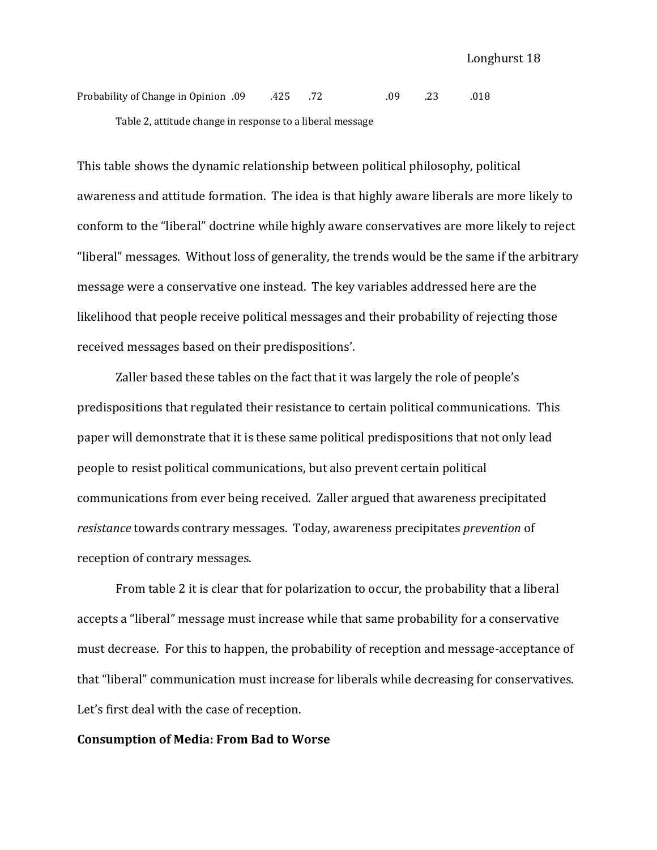Probability of Change in Opinion .09 .425 .72 .09 .23 .018 Table 2, attitude change in response to a liberal message

This table shows the dynamic relationship between political philosophy, political awareness and attitude formation. The idea is that highly aware liberals are more likely to conform to the "liberal" doctrine while highly aware conservatives are more likely to reject "liberal" messages. Without loss of generality, the trends would be the same if the arbitrary message were a conservative one instead. The key variables addressed here are the likelihood that people receive political messages and their probability of rejecting those received messages based on their predispositions'.

Zaller based these tables on the fact that it was largely the role of people's predispositions that regulated their resistance to certain political communications. This paper will demonstrate that it is these same political predispositions that not only lead people to resist political communications, but also prevent certain political communications from ever being received. Zaller argued that awareness precipitated *resistance* towards contrary messages. Today, awareness precipitates *prevention* of reception of contrary messages.

From table 2 it is clear that for polarization to occur, the probability that a liberal accepts a "liberal" message must increase while that same probability for a conservative must decrease. For this to happen, the probability of reception and message-acceptance of that "liberal" communication must increase for liberals while decreasing for conservatives. Let's first deal with the case of reception.

## **Consumption of Media: From Bad to Worse**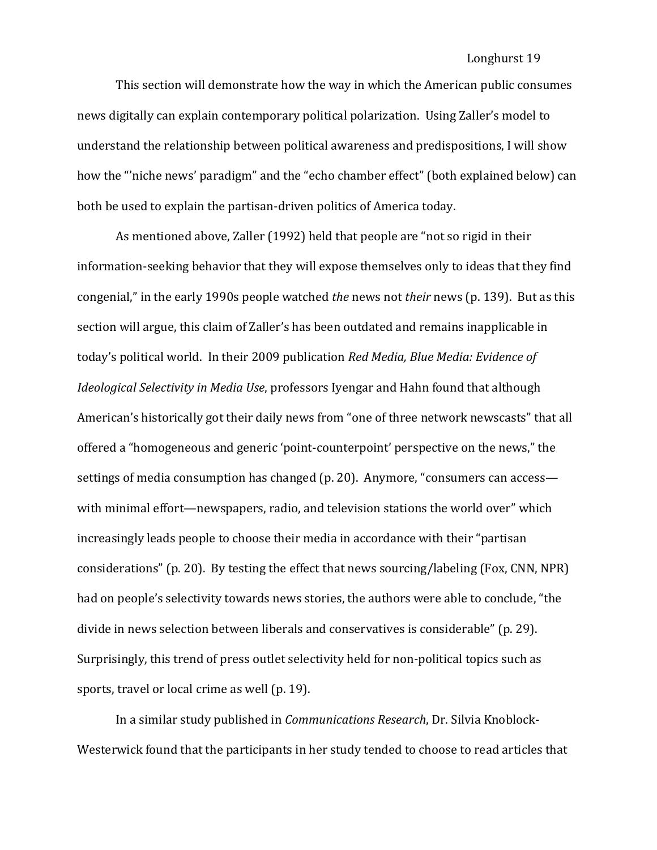This section will demonstrate how the way in which the American public consumes news digitally can explain contemporary political polarization. Using Zaller's model to understand the relationship between political awareness and predispositions, I will show how the "'niche news' paradigm" and the "echo chamber effect" (both explained below) can both be used to explain the partisan-driven politics of America today.

As mentioned above, Zaller (1992) held that people are "not so rigid in their information-seeking behavior that they will expose themselves only to ideas that they find congenial," in the early 1990s people watched *the* news not *their* news (p. 139). But as this section will argue, this claim of Zaller's has been outdated and remains inapplicable in today's political world. In their 2009 publication *Red Media, Blue Media: Evidence of Ideological Selectivity in Media Use*, professors Iyengar and Hahn found that although American's historically got their daily news from "one of three network newscasts" that all offered a "homogeneous and generic 'point-counterpoint' perspective on the news," the settings of media consumption has changed (p. 20). Anymore, "consumers can access with minimal effort—newspapers, radio, and television stations the world over" which increasingly leads people to choose their media in accordance with their "partisan considerations" (p. 20). By testing the effect that news sourcing/labeling (Fox, CNN, NPR) had on people's selectivity towards news stories, the authors were able to conclude, "the divide in news selection between liberals and conservatives is considerable" (p. 29). Surprisingly, this trend of press outlet selectivity held for non-political topics such as sports, travel or local crime as well (p. 19).

In a similar study published in *Communications Research*, Dr. Silvia Knoblock-Westerwick found that the participants in her study tended to choose to read articles that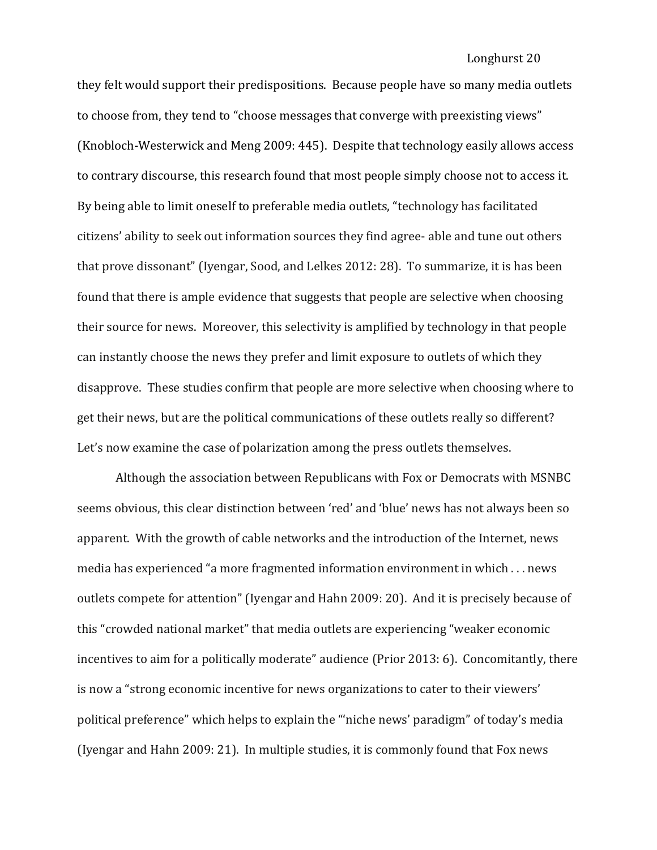they felt would support their predispositions. Because people have so many media outlets to choose from, they tend to "choose messages that converge with preexisting views" (Knobloch-Westerwick and Meng 2009: 445). Despite that technology easily allows access to contrary discourse, this research found that most people simply choose not to access it. By being able to limit oneself to preferable media outlets, "technology has facilitated citizens' ability to seek out information sources they find agree- able and tune out others that prove dissonant" (Iyengar, Sood, and Lelkes 2012: 28). To summarize, it is has been found that there is ample evidence that suggests that people are selective when choosing their source for news. Moreover, this selectivity is amplified by technology in that people can instantly choose the news they prefer and limit exposure to outlets of which they disapprove. These studies confirm that people are more selective when choosing where to get their news, but are the political communications of these outlets really so different? Let's now examine the case of polarization among the press outlets themselves.

Although the association between Republicans with Fox or Democrats with MSNBC seems obvious, this clear distinction between 'red' and 'blue' news has not always been so apparent. With the growth of cable networks and the introduction of the Internet, news media has experienced "a more fragmented information environment in which . . . news outlets compete for attention" (Iyengar and Hahn 2009: 20). And it is precisely because of this "crowded national market" that media outlets are experiencing "weaker economic incentives to aim for a politically moderate" audience (Prior 2013: 6). Concomitantly, there is now a "strong economic incentive for news organizations to cater to their viewers' political preference" which helps to explain the "'niche news' paradigm" of today's media (Iyengar and Hahn 2009: 21). In multiple studies, it is commonly found that Fox news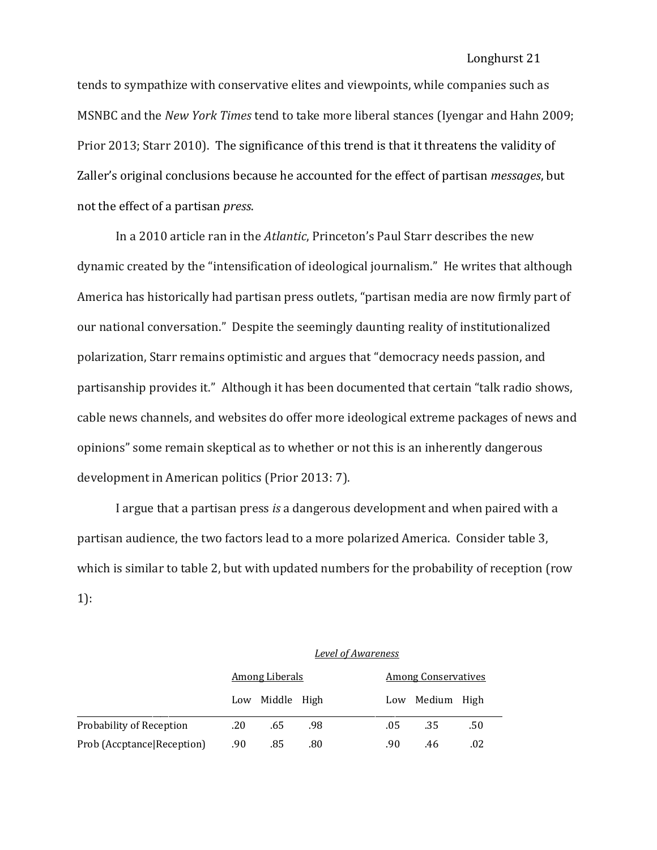tends to sympathize with conservative elites and viewpoints, while companies such as MSNBC and the *New York Times* tend to take more liberal stances (Iyengar and Hahn 2009; Prior 2013; Starr 2010). The significance of this trend is that it threatens the validity of Zaller's original conclusions because he accounted for the effect of partisan *messages*, but not the effect of a partisan *press*.

In a 2010 article ran in the *Atlantic*, Princeton's Paul Starr describes the new dynamic created by the "intensification of ideological journalism." He writes that although America has historically had partisan press outlets, "partisan media are now firmly part of our national conversation." Despite the seemingly daunting reality of institutionalized polarization, Starr remains optimistic and argues that "democracy needs passion, and partisanship provides it." Although it has been documented that certain "talk radio shows, cable news channels, and websites do offer more ideological extreme packages of news and opinions" some remain skeptical as to whether or not this is an inherently dangerous development in American politics (Prior 2013: 7).

I argue that a partisan press *is* a dangerous development and when paired with a partisan audience, the two factors lead to a more polarized America. Consider table 3, which is similar to table 2, but with updated numbers for the probability of reception (row 1):

*Level of Awareness*

|                            | <b>Among Liberals</b> |             |     |     | <b>Among Conservatives</b> |     |  |  |  |
|----------------------------|-----------------------|-------------|-----|-----|----------------------------|-----|--|--|--|
|                            | Low                   | Middle High |     | Low | Medium High                |     |  |  |  |
| Probability of Reception   | .20                   | .65         | .98 | .05 | .35                        | .50 |  |  |  |
| Prob (Accptance Reception) | .90                   | .85         | .80 | .90 | .46                        | .02 |  |  |  |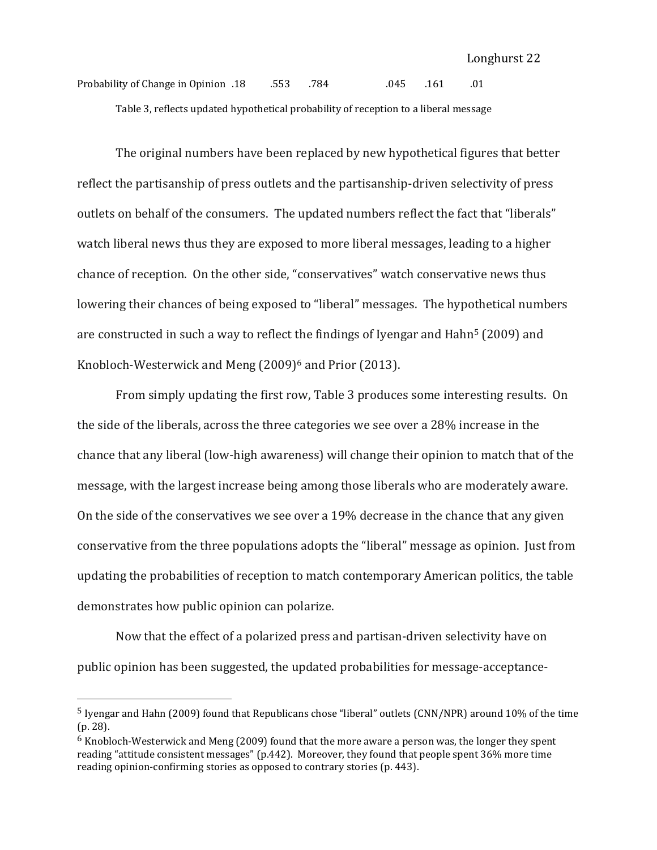Probability of Change in Opinion .18 .553 .784 .045 .161 .01 Table 3, reflects updated hypothetical probability of reception to a liberal message

The original numbers have been replaced by new hypothetical figures that better reflect the partisanship of press outlets and the partisanship-driven selectivity of press outlets on behalf of the consumers. The updated numbers reflect the fact that "liberals" watch liberal news thus they are exposed to more liberal messages, leading to a higher chance of reception. On the other side, "conservatives" watch conservative news thus lowering their chances of being exposed to "liberal" messages. The hypothetical numbers are constructed in such a way to reflect the findings of Iyengar and Hahn<sup>5</sup> (2009) and Knobloch-Westerwick and Meng (2009)<sup>6</sup> and Prior (2013).

From simply updating the first row, Table 3 produces some interesting results. On the side of the liberals, across the three categories we see over a 28% increase in the chance that any liberal (low-high awareness) will change their opinion to match that of the message, with the largest increase being among those liberals who are moderately aware. On the side of the conservatives we see over a 19% decrease in the chance that any given conservative from the three populations adopts the "liberal" message as opinion. Just from updating the probabilities of reception to match contemporary American politics, the table demonstrates how public opinion can polarize.

Now that the effect of a polarized press and partisan-driven selectivity have on public opinion has been suggested, the updated probabilities for message-acceptance-

 $\overline{\phantom{a}}$ 

<sup>5</sup> Iyengar and Hahn (2009) found that Republicans chose "liberal" outlets (CNN/NPR) around 10% of the time (p. 28).

<sup>6</sup> Knobloch-Westerwick and Meng (2009) found that the more aware a person was, the longer they spent reading "attitude consistent messages" (p.442). Moreover, they found that people spent 36% more time reading opinion-confirming stories as opposed to contrary stories (p. 443).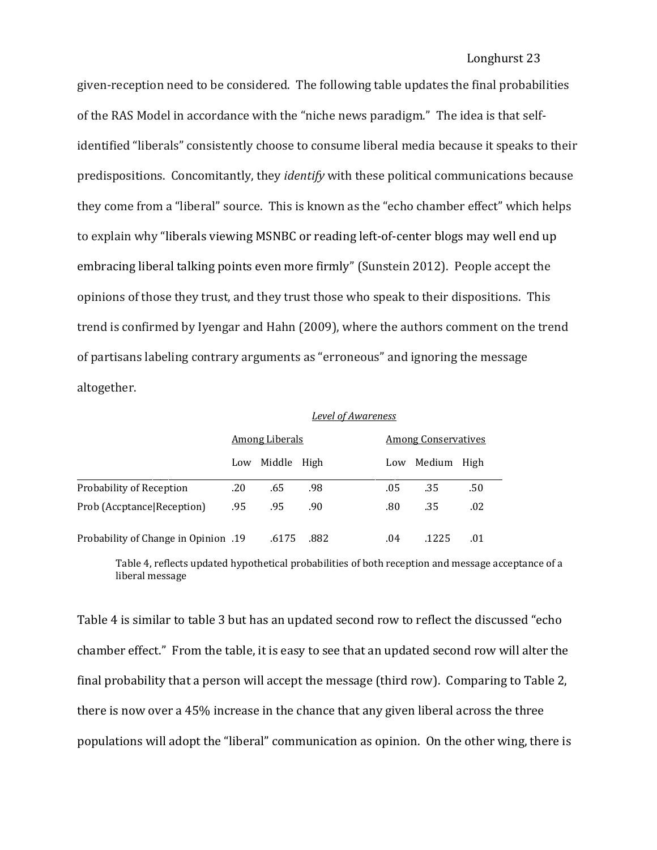given-reception need to be considered. The following table updates the final probabilities of the RAS Model in accordance with the "niche news paradigm." The idea is that selfidentified "liberals" consistently choose to consume liberal media because it speaks to their predispositions. Concomitantly, they *identify* with these political communications because they come from a "liberal" source. This is known as the "echo chamber effect" which helps to explain why "liberals viewing MSNBC or reading left-of-center blogs may well end up embracing liberal talking points even more firmly" (Sunstein 2012). People accept the opinions of those they trust, and they trust those who speak to their dispositions. This trend is confirmed by Iyengar and Hahn (2009), where the authors comment on the trend of partisans labeling contrary arguments as "erroneous" and ignoring the message altogether.

|                                      | <b>Level of Awareness</b> |        |      |  |                            |        |      |  |
|--------------------------------------|---------------------------|--------|------|--|----------------------------|--------|------|--|
|                                      | <b>Among Liberals</b>     |        |      |  | <b>Among Conservatives</b> |        |      |  |
|                                      | Low                       | Middle | High |  | Low                        | Medium | High |  |
| Probability of Reception             | .20                       | .65    | .98  |  | .05                        | .35    | .50  |  |
| Prob (Accptance Reception)           | .95                       | .95    | .90  |  | .80                        | .35    | .02  |  |
| Probability of Change in Opinion .19 |                           | .6175  | .882 |  | .04                        | .1225  | .01  |  |

## Table 4, reflects updated hypothetical probabilities of both reception and message acceptance of a liberal message

Table 4 is similar to table 3 but has an updated second row to reflect the discussed "echo chamber effect." From the table, it is easy to see that an updated second row will alter the final probability that a person will accept the message (third row). Comparing to Table 2, there is now over a 45% increase in the chance that any given liberal across the three populations will adopt the "liberal" communication as opinion. On the other wing, there is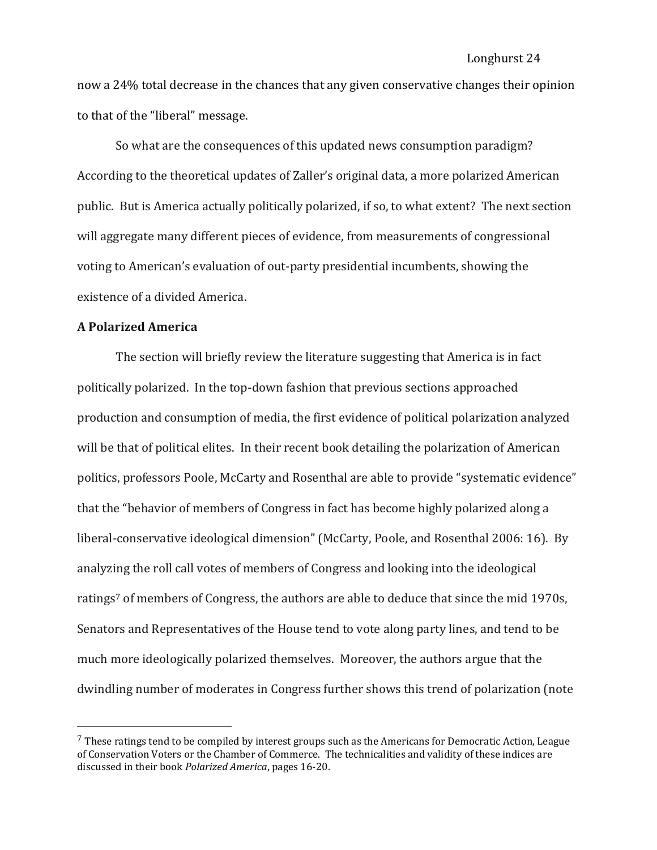now a 24% total decrease in the chances that any given conservative changes their opinion to that of the "liberal" message.

So what are the consequences of this updated news consumption paradigm? According to the theoretical updates of Zaller's original data, a more polarized American public. But is America actually politically polarized, if so, to what extent? The next section will aggregate many different pieces of evidence, from measurements of congressional voting to American's evaluation of out-party presidential incumbents, showing the existence of a divided America.

## **A Polarized America**

 $\overline{\phantom{a}}$ 

The section will briefly review the literature suggesting that America is in fact politically polarized. In the top-down fashion that previous sections approached production and consumption of media, the first evidence of political polarization analyzed will be that of political elites. In their recent book detailing the polarization of American politics, professors Poole, McCarty and Rosenthal are able to provide "systematic evidence" that the "behavior of members of Congress in fact has become highly polarized along a liberal-conservative ideological dimension" (McCarty, Poole, and Rosenthal 2006: 16). By analyzing the roll call votes of members of Congress and looking into the ideological ratings<sup>7</sup> of members of Congress, the authors are able to deduce that since the mid 1970s, Senators and Representatives of the House tend to vote along party lines, and tend to be much more ideologically polarized themselves. Moreover, the authors argue that the dwindling number of moderates in Congress further shows this trend of polarization (note

<sup>7</sup> These ratings tend to be compiled by interest groups such as the Americans for Democratic Action, League of Conservation Voters or the Chamber of Commerce. The technicalities and validity of these indices are discussed in their book *Polarized America*, pages 16-20.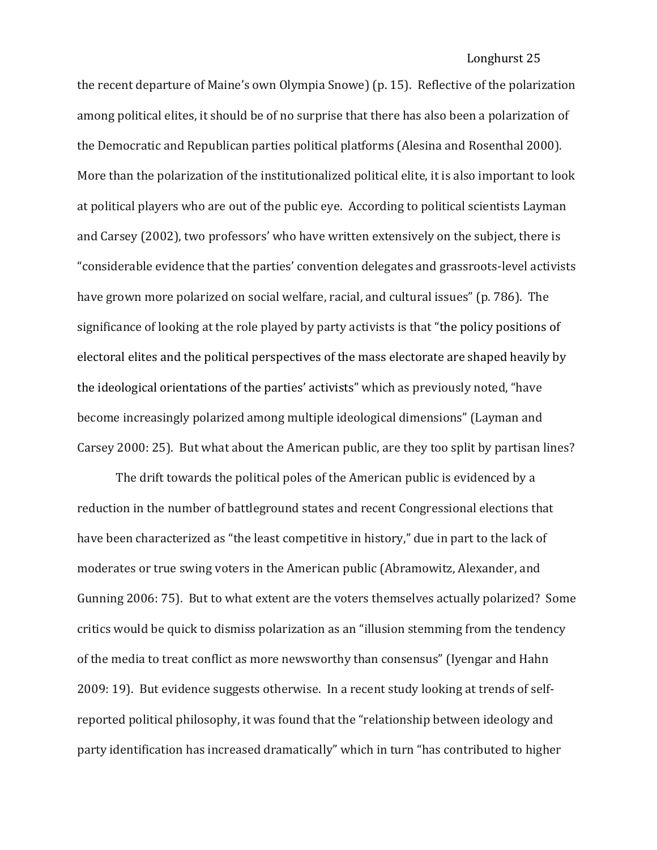the recent departure of Maine's own Olympia Snowe) (p. 15). Reflective of the polarization among political elites, it should be of no surprise that there has also been a polarization of the Democratic and Republican parties political platforms (Alesina and Rosenthal 2000). More than the polarization of the institutionalized political elite, it is also important to look at political players who are out of the public eye. According to political scientists Layman and Carsey (2002), two professors' who have written extensively on the subject, there is "considerable evidence that the parties' convention delegates and grassroots-level activists have grown more polarized on social welfare, racial, and cultural issues" (p. 786). The significance of looking at the role played by party activists is that "the policy positions of electoral elites and the political perspectives of the mass electorate are shaped heavily by the ideological orientations of the parties' activists" which as previously noted, "have become increasingly polarized among multiple ideological dimensions" (Layman and Carsey 2000: 25). But what about the American public, are they too split by partisan lines?

The drift towards the political poles of the American public is evidenced by a reduction in the number of battleground states and recent Congressional elections that have been characterized as "the least competitive in history," due in part to the lack of moderates or true swing voters in the American public (Abramowitz, Alexander, and Gunning 2006: 75). But to what extent are the voters themselves actually polarized? Some critics would be quick to dismiss polarization as an "illusion stemming from the tendency of the media to treat conflict as more newsworthy than consensus" (Iyengar and Hahn 2009: 19). But evidence suggests otherwise. In a recent study looking at trends of selfreported political philosophy, it was found that the "relationship between ideology and party identification has increased dramatically" which in turn "has contributed to higher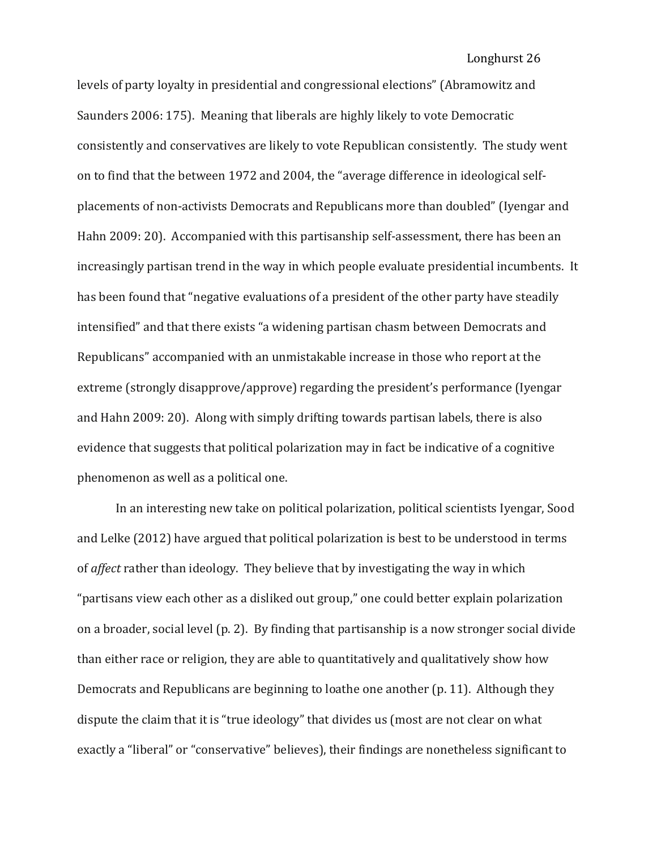levels of party loyalty in presidential and congressional elections" (Abramowitz and Saunders 2006: 175). Meaning that liberals are highly likely to vote Democratic consistently and conservatives are likely to vote Republican consistently. The study went on to find that the between 1972 and 2004, the "average difference in ideological selfplacements of non-activists Democrats and Republicans more than doubled" (Iyengar and Hahn 2009: 20). Accompanied with this partisanship self-assessment, there has been an increasingly partisan trend in the way in which people evaluate presidential incumbents. It has been found that "negative evaluations of a president of the other party have steadily intensified" and that there exists "a widening partisan chasm between Democrats and Republicans" accompanied with an unmistakable increase in those who report at the extreme (strongly disapprove/approve) regarding the president's performance (Iyengar and Hahn 2009: 20). Along with simply drifting towards partisan labels, there is also evidence that suggests that political polarization may in fact be indicative of a cognitive phenomenon as well as a political one.

In an interesting new take on political polarization, political scientists Iyengar, Sood and Lelke (2012) have argued that political polarization is best to be understood in terms of *affect* rather than ideology. They believe that by investigating the way in which "partisans view each other as a disliked out group," one could better explain polarization on a broader, social level (p. 2). By finding that partisanship is a now stronger social divide than either race or religion, they are able to quantitatively and qualitatively show how Democrats and Republicans are beginning to loathe one another (p. 11). Although they dispute the claim that it is "true ideology" that divides us (most are not clear on what exactly a "liberal" or "conservative" believes), their findings are nonetheless significant to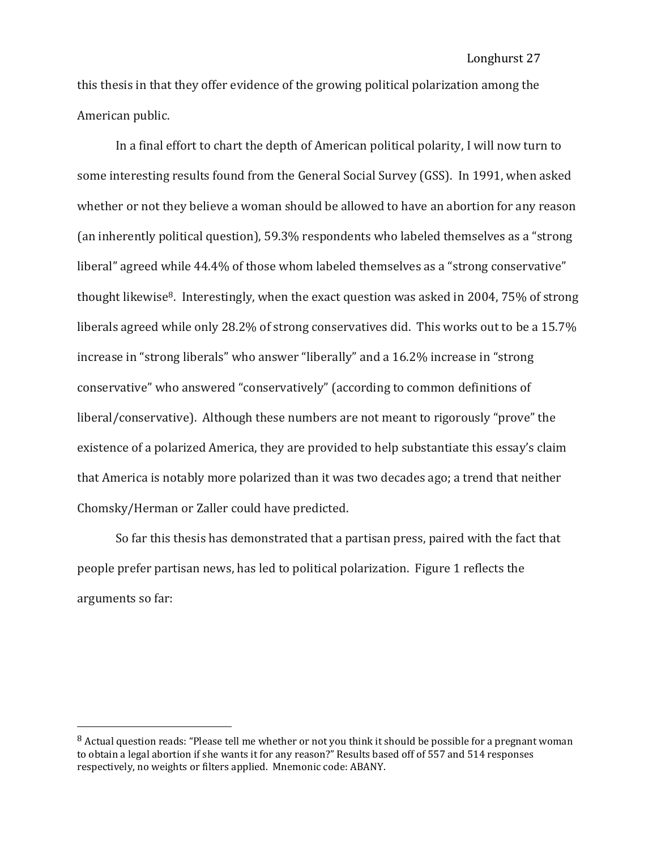this thesis in that they offer evidence of the growing political polarization among the American public.

In a final effort to chart the depth of American political polarity, I will now turn to some interesting results found from the General Social Survey (GSS). In 1991, when asked whether or not they believe a woman should be allowed to have an abortion for any reason (an inherently political question), 59.3% respondents who labeled themselves as a "strong liberal" agreed while 44.4% of those whom labeled themselves as a "strong conservative" thought likewise8. Interestingly, when the exact question was asked in 2004, 75% of strong liberals agreed while only 28.2% of strong conservatives did. This works out to be a 15.7% increase in "strong liberals" who answer "liberally" and a 16.2% increase in "strong conservative" who answered "conservatively" (according to common definitions of liberal/conservative). Although these numbers are not meant to rigorously "prove" the existence of a polarized America, they are provided to help substantiate this essay's claim that America is notably more polarized than it was two decades ago; a trend that neither Chomsky/Herman or Zaller could have predicted.

So far this thesis has demonstrated that a partisan press, paired with the fact that people prefer partisan news, has led to political polarization. Figure 1 reflects the arguments so far:

 $\overline{\phantom{a}}$ 

<sup>8</sup> Actual question reads: "Please tell me whether or not you think it should be possible for a pregnant woman to obtain a legal abortion if she wants it for any reason?" Results based off of 557 and 514 responses respectively, no weights or filters applied. Mnemonic code: ABANY.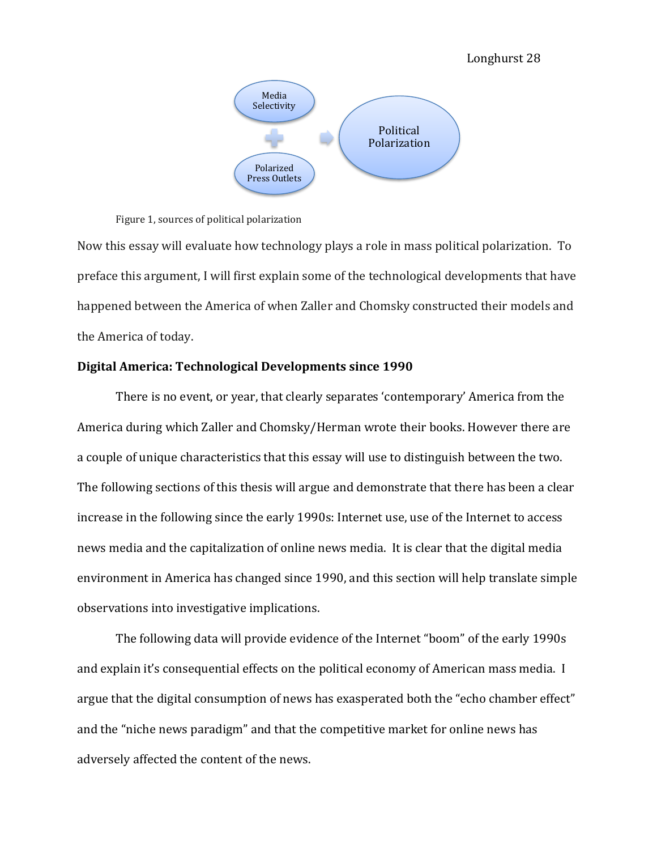

Figure 1, sources of political polarization

Now this essay will evaluate how technology plays a role in mass political polarization. To preface this argument, I will first explain some of the technological developments that have happened between the America of when Zaller and Chomsky constructed their models and the America of today.

## **Digital America: Technological Developments since 1990**

There is no event, or year, that clearly separates 'contemporary' America from the America during which Zaller and Chomsky/Herman wrote their books. However there are a couple of unique characteristics that this essay will use to distinguish between the two. The following sections of this thesis will argue and demonstrate that there has been a clear increase in the following since the early 1990s: Internet use, use of the Internet to access news media and the capitalization of online news media. It is clear that the digital media environment in America has changed since 1990, and this section will help translate simple observations into investigative implications.

The following data will provide evidence of the Internet "boom" of the early 1990s and explain it's consequential effects on the political economy of American mass media. I argue that the digital consumption of news has exasperated both the "echo chamber effect" and the "niche news paradigm" and that the competitive market for online news has adversely affected the content of the news.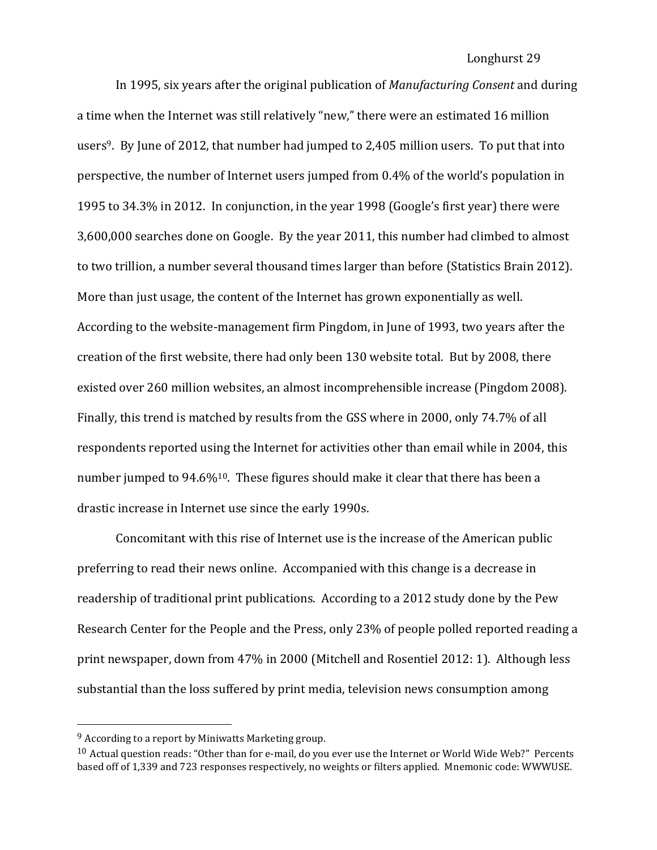In 1995, six years after the original publication of *Manufacturing Consent* and during a time when the Internet was still relatively "new," there were an estimated 16 million users<sup>9</sup>. By June of 2012, that number had jumped to 2,405 million users. To put that into perspective, the number of Internet users jumped from 0.4% of the world's population in 1995 to 34.3% in 2012. In conjunction, in the year 1998 (Google's first year) there were 3,600,000 searches done on Google. By the year 2011, this number had climbed to almost to two trillion, a number several thousand times larger than before (Statistics Brain 2012). More than just usage, the content of the Internet has grown exponentially as well. According to the website-management firm Pingdom, in June of 1993, two years after the creation of the first website, there had only been 130 website total. But by 2008, there existed over 260 million websites, an almost incomprehensible increase (Pingdom 2008). Finally, this trend is matched by results from the GSS where in 2000, only 74.7% of all respondents reported using the Internet for activities other than email while in 2004, this number jumped to 94.6%10. These figures should make it clear that there has been a drastic increase in Internet use since the early 1990s.

Concomitant with this rise of Internet use is the increase of the American public preferring to read their news online. Accompanied with this change is a decrease in readership of traditional print publications. According to a 2012 study done by the Pew Research Center for the People and the Press, only 23% of people polled reported reading a print newspaper, down from 47% in 2000 (Mitchell and Rosentiel 2012: 1). Although less substantial than the loss suffered by print media, television news consumption among

 $\overline{\phantom{a}}$ 

<sup>9</sup> According to a report by Miniwatts Marketing group.

 $10$  Actual question reads: "Other than for e-mail, do you ever use the Internet or World Wide Web?" Percents based off of 1,339 and 723 responses respectively, no weights or filters applied. Mnemonic code: WWWUSE.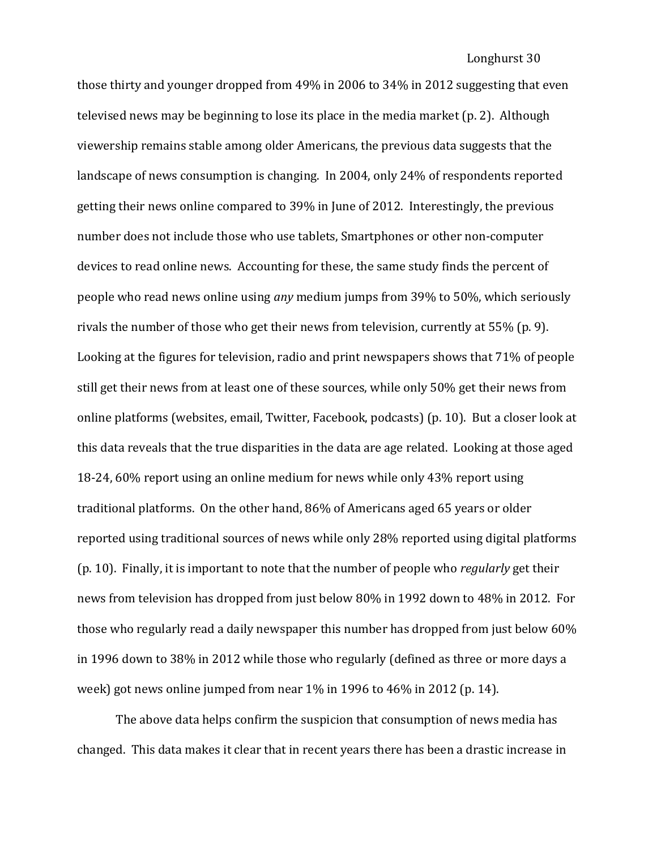those thirty and younger dropped from 49% in 2006 to 34% in 2012 suggesting that even televised news may be beginning to lose its place in the media market (p. 2). Although viewership remains stable among older Americans, the previous data suggests that the landscape of news consumption is changing. In 2004, only 24% of respondents reported getting their news online compared to 39% in June of 2012. Interestingly, the previous number does not include those who use tablets, Smartphones or other non-computer devices to read online news. Accounting for these, the same study finds the percent of people who read news online using *any* medium jumps from 39% to 50%, which seriously rivals the number of those who get their news from television, currently at 55% (p. 9). Looking at the figures for television, radio and print newspapers shows that 71% of people still get their news from at least one of these sources, while only 50% get their news from online platforms (websites, email, Twitter, Facebook, podcasts) (p. 10). But a closer look at this data reveals that the true disparities in the data are age related. Looking at those aged 18-24, 60% report using an online medium for news while only 43% report using traditional platforms. On the other hand, 86% of Americans aged 65 years or older reported using traditional sources of news while only 28% reported using digital platforms (p. 10). Finally, it is important to note that the number of people who *regularly* get their news from television has dropped from just below 80% in 1992 down to 48% in 2012. For those who regularly read a daily newspaper this number has dropped from just below 60% in 1996 down to 38% in 2012 while those who regularly (defined as three or more days a week) got news online jumped from near 1% in 1996 to 46% in 2012 (p. 14).

The above data helps confirm the suspicion that consumption of news media has changed. This data makes it clear that in recent years there has been a drastic increase in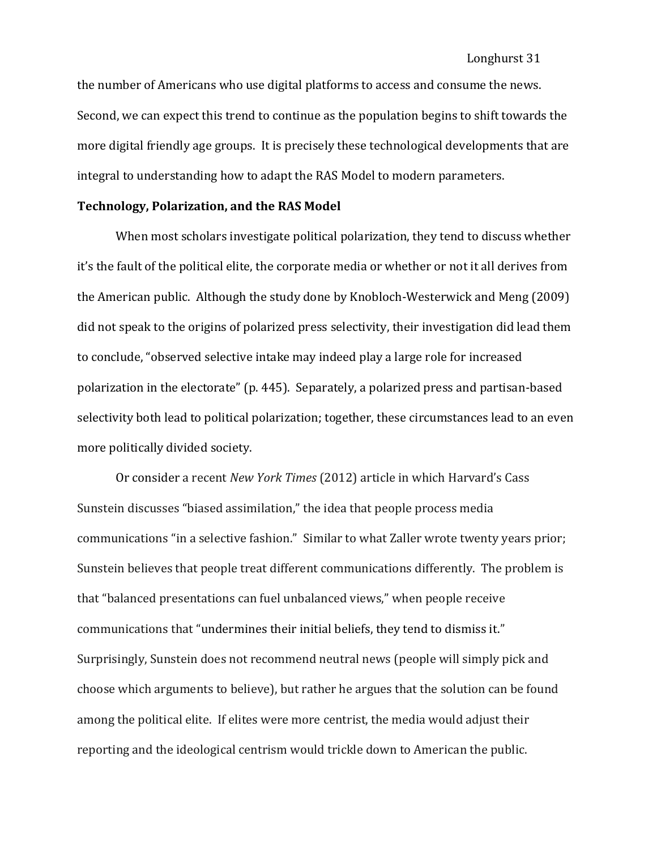the number of Americans who use digital platforms to access and consume the news. Second, we can expect this trend to continue as the population begins to shift towards the more digital friendly age groups. It is precisely these technological developments that are integral to understanding how to adapt the RAS Model to modern parameters.

#### **Technology, Polarization, and the RAS Model**

When most scholars investigate political polarization, they tend to discuss whether it's the fault of the political elite, the corporate media or whether or not it all derives from the American public. Although the study done by Knobloch-Westerwick and Meng (2009) did not speak to the origins of polarized press selectivity, their investigation did lead them to conclude, "observed selective intake may indeed play a large role for increased polarization in the electorate" (p. 445). Separately, a polarized press and partisan-based selectivity both lead to political polarization; together, these circumstances lead to an even more politically divided society.

Or consider a recent *New York Times* (2012) article in which Harvard's Cass Sunstein discusses "biased assimilation," the idea that people process media communications "in a selective fashion." Similar to what Zaller wrote twenty years prior; Sunstein believes that people treat different communications differently. The problem is that "balanced presentations can fuel unbalanced views," when people receive communications that "undermines their initial beliefs, they tend to dismiss it." Surprisingly, Sunstein does not recommend neutral news (people will simply pick and choose which arguments to believe), but rather he argues that the solution can be found among the political elite. If elites were more centrist, the media would adjust their reporting and the ideological centrism would trickle down to American the public.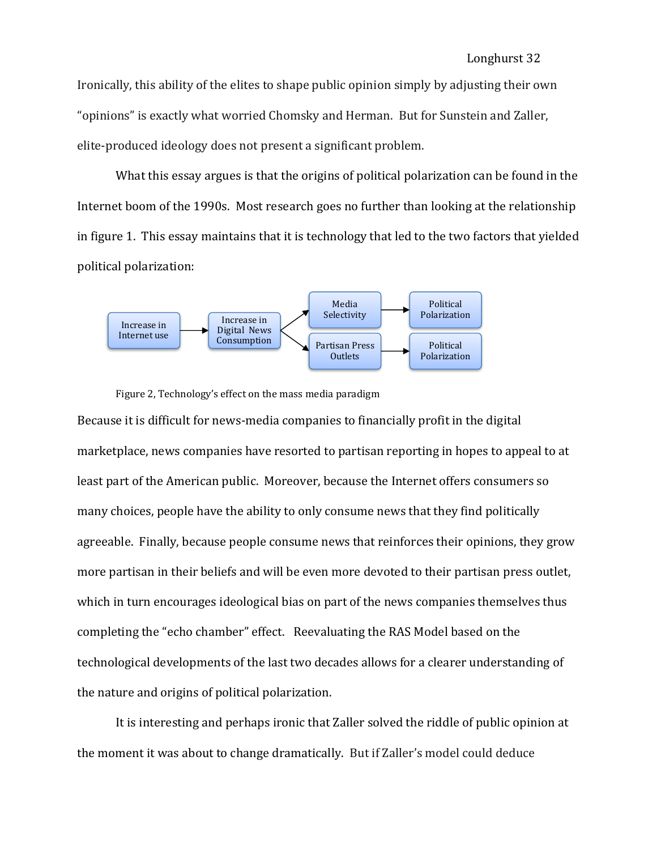Ironically, this ability of the elites to shape public opinion simply by adjusting their own "opinions" is exactly what worried Chomsky and Herman. But for Sunstein and Zaller, elite-produced ideology does not present a significant problem.

What this essay argues is that the origins of political polarization can be found in the Internet boom of the 1990s. Most research goes no further than looking at the relationship in figure 1. This essay maintains that it is technology that led to the two factors that yielded political polarization:



Figure 2, Technology's effect on the mass media paradigm

Because it is difficult for news-media companies to financially profit in the digital marketplace, news companies have resorted to partisan reporting in hopes to appeal to at least part of the American public. Moreover, because the Internet offers consumers so many choices, people have the ability to only consume news that they find politically agreeable. Finally, because people consume news that reinforces their opinions, they grow more partisan in their beliefs and will be even more devoted to their partisan press outlet, which in turn encourages ideological bias on part of the news companies themselves thus completing the "echo chamber" effect. Reevaluating the RAS Model based on the technological developments of the last two decades allows for a clearer understanding of the nature and origins of political polarization.

It is interesting and perhaps ironic that Zaller solved the riddle of public opinion at the moment it was about to change dramatically. But if Zaller's model could deduce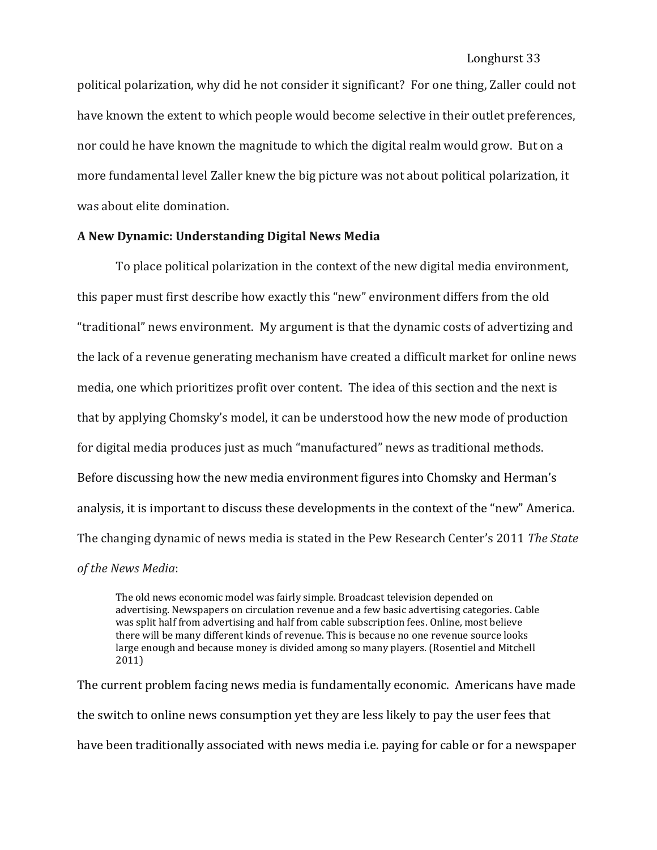political polarization, why did he not consider it significant? For one thing, Zaller could not have known the extent to which people would become selective in their outlet preferences, nor could he have known the magnitude to which the digital realm would grow. But on a more fundamental level Zaller knew the big picture was not about political polarization, it was about elite domination.

## **A New Dynamic: Understanding Digital News Media**

To place political polarization in the context of the new digital media environment, this paper must first describe how exactly this "new" environment differs from the old "traditional" news environment. My argument is that the dynamic costs of advertizing and the lack of a revenue generating mechanism have created a difficult market for online news media, one which prioritizes profit over content. The idea of this section and the next is that by applying Chomsky's model, it can be understood how the new mode of production for digital media produces just as much "manufactured" news as traditional methods. Before discussing how the new media environment figures into Chomsky and Herman's analysis, it is important to discuss these developments in the context of the "new" America. The changing dynamic of news media is stated in the Pew Research Center's 2011 *The State* 

## *of the News Media*:

The old news economic model was fairly simple. Broadcast television depended on advertising. Newspapers on circulation revenue and a few basic advertising categories. Cable was split half from advertising and half from cable subscription fees. Online, most believe there will be many different kinds of revenue. This is because no one revenue source looks large enough and because money is divided among so many players. (Rosentiel and Mitchell 2011)

The current problem facing news media is fundamentally economic. Americans have made the switch to online news consumption yet they are less likely to pay the user fees that have been traditionally associated with news media i.e. paying for cable or for a newspaper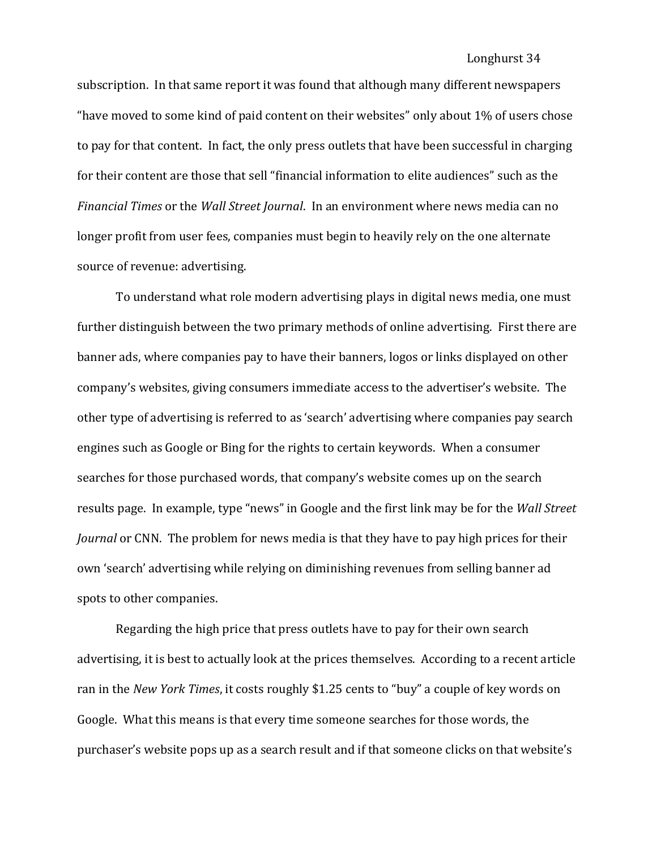subscription. In that same report it was found that although many different newspapers "have moved to some kind of paid content on their websites" only about 1% of users chose to pay for that content. In fact, the only press outlets that have been successful in charging for their content are those that sell "financial information to elite audiences" such as the *Financial Times* or the *Wall Street Journal*. In an environment where news media can no longer profit from user fees, companies must begin to heavily rely on the one alternate source of revenue: advertising.

To understand what role modern advertising plays in digital news media, one must further distinguish between the two primary methods of online advertising. First there are banner ads, where companies pay to have their banners, logos or links displayed on other company's websites, giving consumers immediate access to the advertiser's website. The other type of advertising is referred to as 'search' advertising where companies pay search engines such as Google or Bing for the rights to certain keywords. When a consumer searches for those purchased words, that company's website comes up on the search results page. In example, type "news" in Google and the first link may be for the *Wall Street Journal* or CNN. The problem for news media is that they have to pay high prices for their own 'search' advertising while relying on diminishing revenues from selling banner ad spots to other companies.

Regarding the high price that press outlets have to pay for their own search advertising, it is best to actually look at the prices themselves. According to a recent article ran in the *New York Times*, it costs roughly \$1.25 cents to "buy" a couple of key words on Google. What this means is that every time someone searches for those words, the purchaser's website pops up as a search result and if that someone clicks on that website's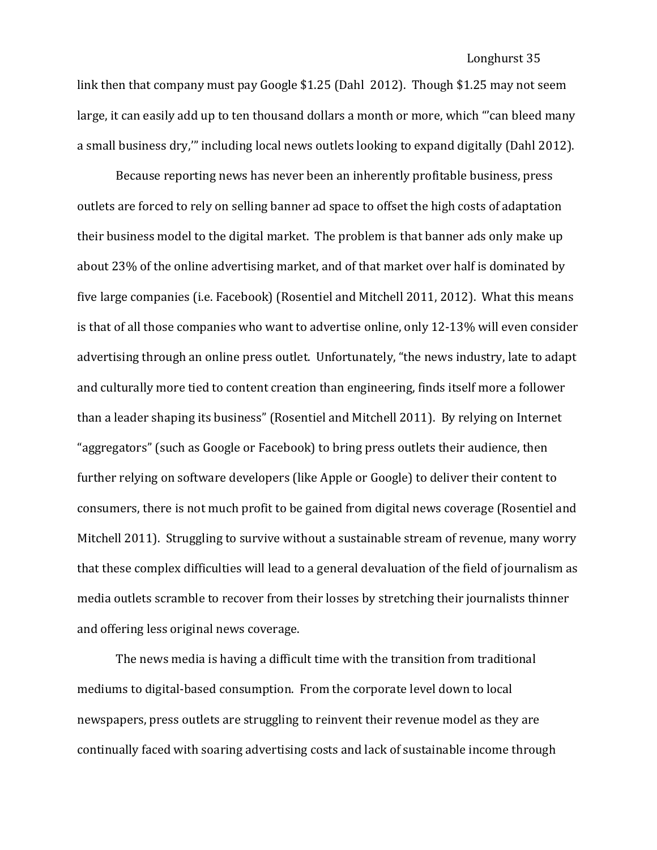link then that company must pay Google \$1.25 (Dahl 2012). Though \$1.25 may not seem large, it can easily add up to ten thousand dollars a month or more, which "'can bleed many a small business dry,'" including local news outlets looking to expand digitally (Dahl 2012).

Because reporting news has never been an inherently profitable business, press outlets are forced to rely on selling banner ad space to offset the high costs of adaptation their business model to the digital market. The problem is that banner ads only make up about 23% of the online advertising market, and of that market over half is dominated by five large companies (i.e. Facebook) (Rosentiel and Mitchell 2011, 2012). What this means is that of all those companies who want to advertise online, only 12-13% will even consider advertising through an online press outlet. Unfortunately, "the news industry, late to adapt and culturally more tied to content creation than engineering, finds itself more a follower than a leader shaping its business" (Rosentiel and Mitchell 2011). By relying on Internet "aggregators" (such as Google or Facebook) to bring press outlets their audience, then further relying on software developers (like Apple or Google) to deliver their content to consumers, there is not much profit to be gained from digital news coverage (Rosentiel and Mitchell 2011). Struggling to survive without a sustainable stream of revenue, many worry that these complex difficulties will lead to a general devaluation of the field of journalism as media outlets scramble to recover from their losses by stretching their journalists thinner and offering less original news coverage.

The news media is having a difficult time with the transition from traditional mediums to digital-based consumption. From the corporate level down to local newspapers, press outlets are struggling to reinvent their revenue model as they are continually faced with soaring advertising costs and lack of sustainable income through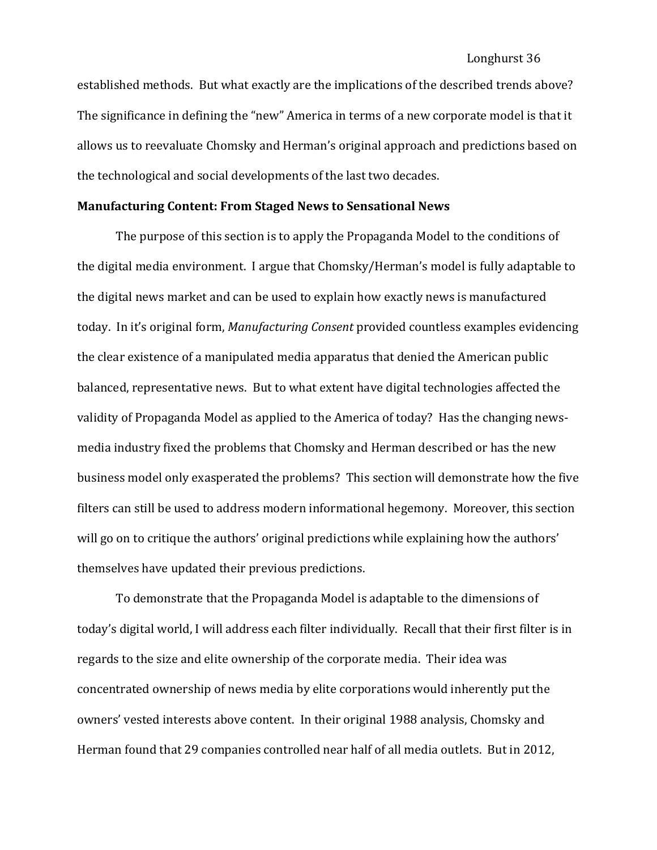established methods. But what exactly are the implications of the described trends above? The significance in defining the "new" America in terms of a new corporate model is that it allows us to reevaluate Chomsky and Herman's original approach and predictions based on the technological and social developments of the last two decades.

#### **Manufacturing Content: From Staged News to Sensational News**

The purpose of this section is to apply the Propaganda Model to the conditions of the digital media environment. I argue that Chomsky/Herman's model is fully adaptable to the digital news market and can be used to explain how exactly news is manufactured today. In it's original form, *Manufacturing Consent* provided countless examples evidencing the clear existence of a manipulated media apparatus that denied the American public balanced, representative news. But to what extent have digital technologies affected the validity of Propaganda Model as applied to the America of today? Has the changing newsmedia industry fixed the problems that Chomsky and Herman described or has the new business model only exasperated the problems? This section will demonstrate how the five filters can still be used to address modern informational hegemony. Moreover, this section will go on to critique the authors' original predictions while explaining how the authors' themselves have updated their previous predictions.

To demonstrate that the Propaganda Model is adaptable to the dimensions of today's digital world, I will address each filter individually. Recall that their first filter is in regards to the size and elite ownership of the corporate media. Their idea was concentrated ownership of news media by elite corporations would inherently put the owners' vested interests above content. In their original 1988 analysis, Chomsky and Herman found that 29 companies controlled near half of all media outlets. But in 2012,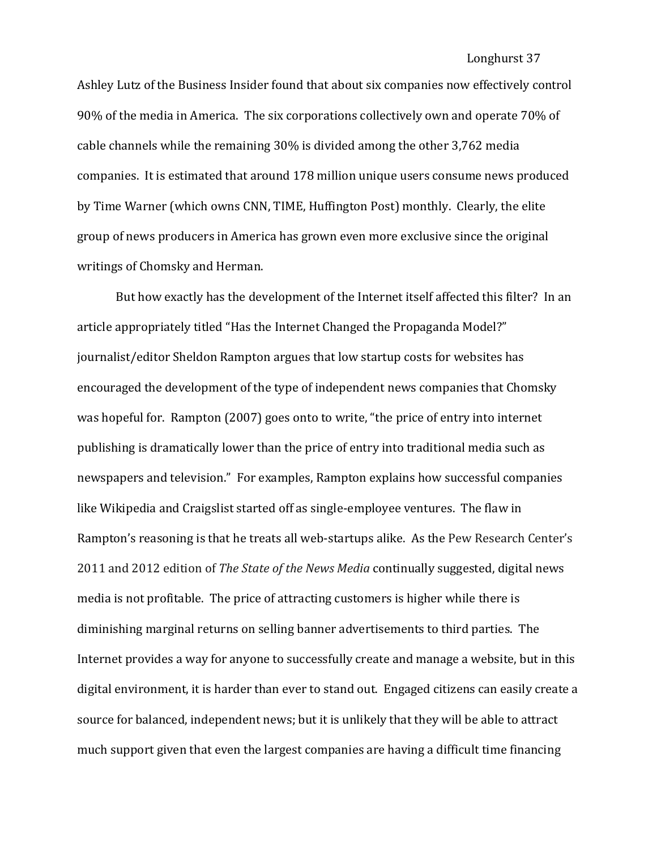Ashley Lutz of the Business Insider found that about six companies now effectively control 90% of the media in America. The six corporations collectively own and operate 70% of cable channels while the remaining 30% is divided among the other 3,762 media companies. It is estimated that around 178 million unique users consume news produced by Time Warner (which owns CNN, TIME, Huffington Post) monthly. Clearly, the elite group of news producers in America has grown even more exclusive since the original writings of Chomsky and Herman.

But how exactly has the development of the Internet itself affected this filter? In an article appropriately titled "Has the Internet Changed the Propaganda Model?" journalist/editor Sheldon Rampton argues that low startup costs for websites has encouraged the development of the type of independent news companies that Chomsky was hopeful for. Rampton (2007) goes onto to write, "the price of entry into internet publishing is dramatically lower than the price of entry into traditional media such as newspapers and television." For examples, Rampton explains how successful companies like Wikipedia and Craigslist started off as single-employee ventures. The flaw in Rampton's reasoning is that he treats all web-startups alike. As the Pew Research Center's 2011 and 2012 edition of *The State of the News Media* continually suggested, digital news media is not profitable. The price of attracting customers is higher while there is diminishing marginal returns on selling banner advertisements to third parties. The Internet provides a way for anyone to successfully create and manage a website, but in this digital environment, it is harder than ever to stand out. Engaged citizens can easily create a source for balanced, independent news; but it is unlikely that they will be able to attract much support given that even the largest companies are having a difficult time financing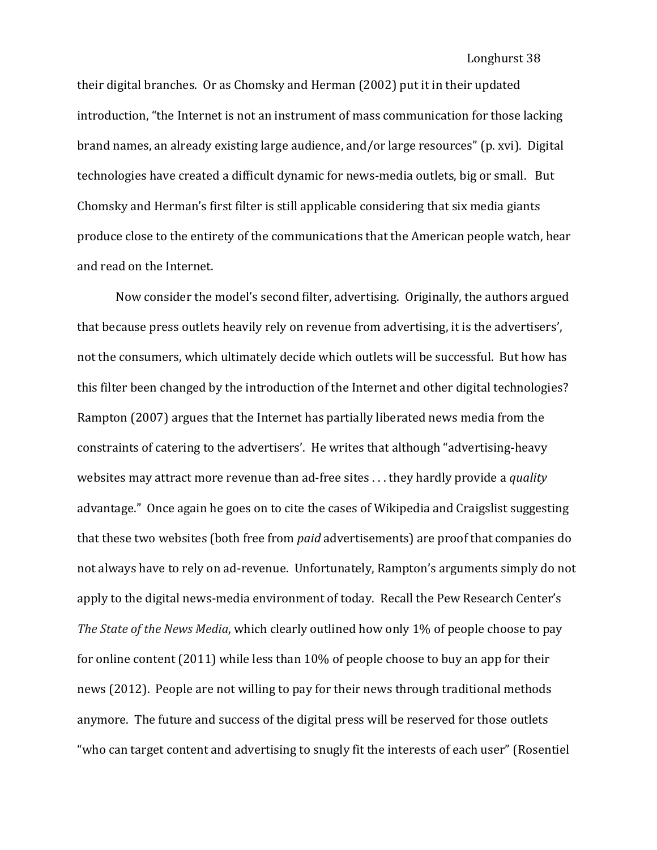their digital branches. Or as Chomsky and Herman (2002) put it in their updated introduction, "the Internet is not an instrument of mass communication for those lacking brand names, an already existing large audience, and/or large resources" (p. xvi). Digital technologies have created a difficult dynamic for news-media outlets, big or small. But Chomsky and Herman's first filter is still applicable considering that six media giants produce close to the entirety of the communications that the American people watch, hear and read on the Internet.

Now consider the model's second filter, advertising. Originally, the authors argued that because press outlets heavily rely on revenue from advertising, it is the advertisers', not the consumers, which ultimately decide which outlets will be successful. But how has this filter been changed by the introduction of the Internet and other digital technologies? Rampton (2007) argues that the Internet has partially liberated news media from the constraints of catering to the advertisers'. He writes that although "advertising-heavy websites may attract more revenue than ad-free sites . . . they hardly provide a *quality*  advantage." Once again he goes on to cite the cases of Wikipedia and Craigslist suggesting that these two websites (both free from *paid* advertisements) are proof that companies do not always have to rely on ad-revenue. Unfortunately, Rampton's arguments simply do not apply to the digital news-media environment of today. Recall the Pew Research Center's *The State of the News Media*, which clearly outlined how only 1% of people choose to pay for online content (2011) while less than 10% of people choose to buy an app for their news (2012). People are not willing to pay for their news through traditional methods anymore. The future and success of the digital press will be reserved for those outlets "who can target content and advertising to snugly fit the interests of each user" (Rosentiel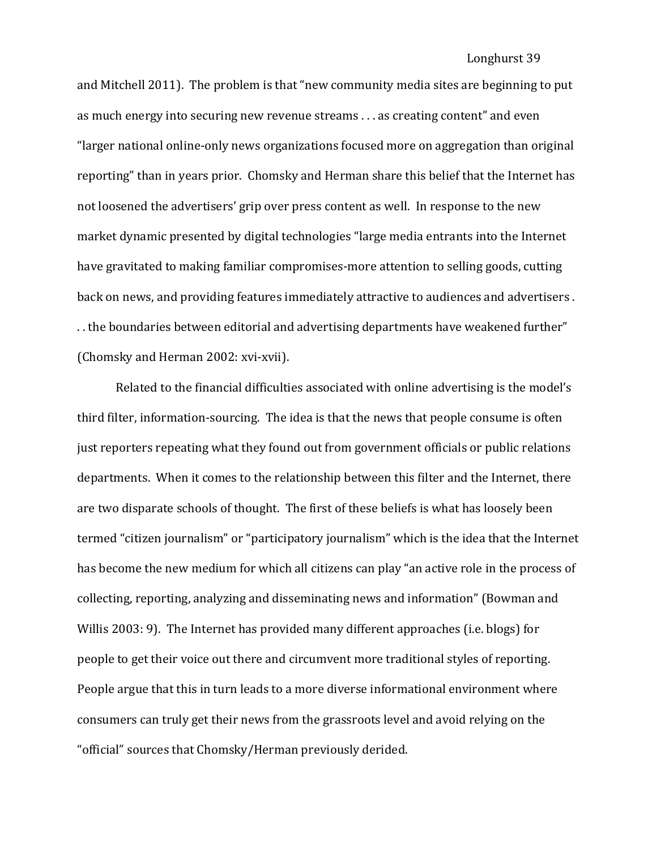and Mitchell 2011). The problem is that "new community media sites are beginning to put as much energy into securing new revenue streams . . . as creating content" and even "larger national online-only news organizations focused more on aggregation than original reporting" than in years prior. Chomsky and Herman share this belief that the Internet has not loosened the advertisers' grip over press content as well. In response to the new market dynamic presented by digital technologies "large media entrants into the Internet have gravitated to making familiar compromises-more attention to selling goods, cutting back on news, and providing features immediately attractive to audiences and advertisers . . . the boundaries between editorial and advertising departments have weakened further" (Chomsky and Herman 2002: xvi-xvii).

Related to the financial difficulties associated with online advertising is the model's third filter, information-sourcing. The idea is that the news that people consume is often just reporters repeating what they found out from government officials or public relations departments. When it comes to the relationship between this filter and the Internet, there are two disparate schools of thought. The first of these beliefs is what has loosely been termed "citizen journalism" or "participatory journalism" which is the idea that the Internet has become the new medium for which all citizens can play "an active role in the process of collecting, reporting, analyzing and disseminating news and information" (Bowman and Willis 2003: 9). The Internet has provided many different approaches (i.e. blogs) for people to get their voice out there and circumvent more traditional styles of reporting. People argue that this in turn leads to a more diverse informational environment where consumers can truly get their news from the grassroots level and avoid relying on the "official" sources that Chomsky/Herman previously derided.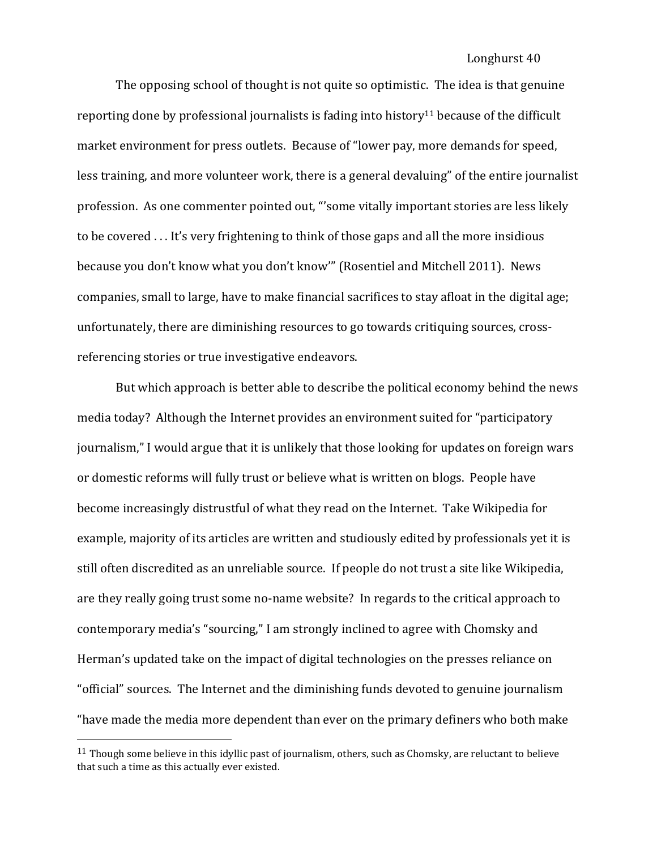The opposing school of thought is not quite so optimistic. The idea is that genuine reporting done by professional journalists is fading into history<sup>11</sup> because of the difficult market environment for press outlets. Because of "lower pay, more demands for speed, less training, and more volunteer work, there is a general devaluing" of the entire journalist profession. As one commenter pointed out, "'some vitally important stories are less likely to be covered . . . It's very frightening to think of those gaps and all the more insidious because you don't know what you don't know'" (Rosentiel and Mitchell 2011). News companies, small to large, have to make financial sacrifices to stay afloat in the digital age; unfortunately, there are diminishing resources to go towards critiquing sources, crossreferencing stories or true investigative endeavors.

But which approach is better able to describe the political economy behind the news media today? Although the Internet provides an environment suited for "participatory journalism," I would argue that it is unlikely that those looking for updates on foreign wars or domestic reforms will fully trust or believe what is written on blogs. People have become increasingly distrustful of what they read on the Internet. Take Wikipedia for example, majority of its articles are written and studiously edited by professionals yet it is still often discredited as an unreliable source. If people do not trust a site like Wikipedia, are they really going trust some no-name website? In regards to the critical approach to contemporary media's "sourcing," I am strongly inclined to agree with Chomsky and Herman's updated take on the impact of digital technologies on the presses reliance on "official" sources. The Internet and the diminishing funds devoted to genuine journalism "have made the media more dependent than ever on the primary definers who both make

 $\overline{\phantom{a}}$ 

 $11$  Though some believe in this idyllic past of journalism, others, such as Chomsky, are reluctant to believe that such a time as this actually ever existed.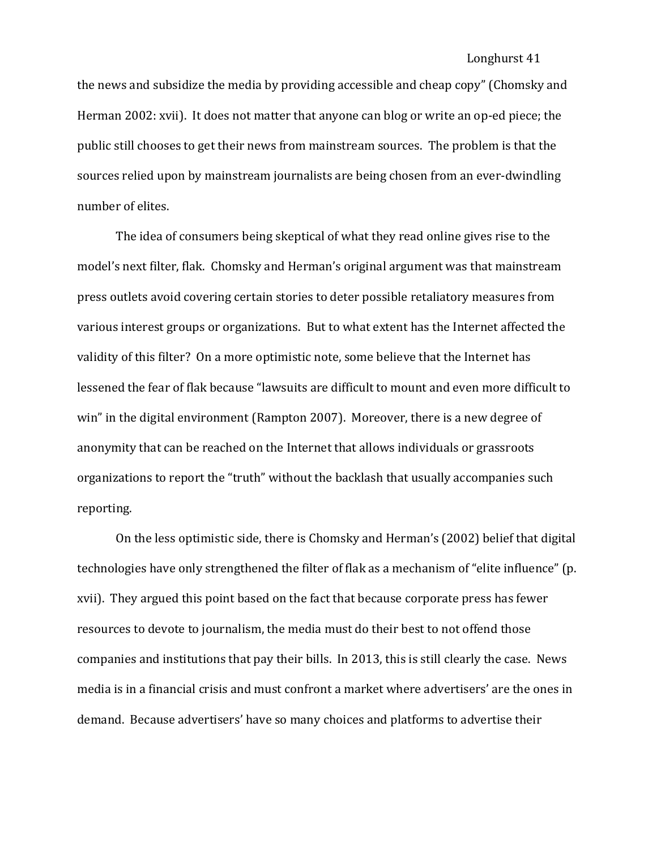the news and subsidize the media by providing accessible and cheap copy" (Chomsky and Herman 2002: xvii). It does not matter that anyone can blog or write an op-ed piece; the public still chooses to get their news from mainstream sources. The problem is that the sources relied upon by mainstream journalists are being chosen from an ever-dwindling number of elites.

The idea of consumers being skeptical of what they read online gives rise to the model's next filter, flak. Chomsky and Herman's original argument was that mainstream press outlets avoid covering certain stories to deter possible retaliatory measures from various interest groups or organizations. But to what extent has the Internet affected the validity of this filter? On a more optimistic note, some believe that the Internet has lessened the fear of flak because "lawsuits are difficult to mount and even more difficult to win" in the digital environment (Rampton 2007). Moreover, there is a new degree of anonymity that can be reached on the Internet that allows individuals or grassroots organizations to report the "truth" without the backlash that usually accompanies such reporting.

On the less optimistic side, there is Chomsky and Herman's (2002) belief that digital technologies have only strengthened the filter of flak as a mechanism of "elite influence" (p. xvii). They argued this point based on the fact that because corporate press has fewer resources to devote to journalism, the media must do their best to not offend those companies and institutions that pay their bills. In 2013, this is still clearly the case. News media is in a financial crisis and must confront a market where advertisers' are the ones in demand. Because advertisers' have so many choices and platforms to advertise their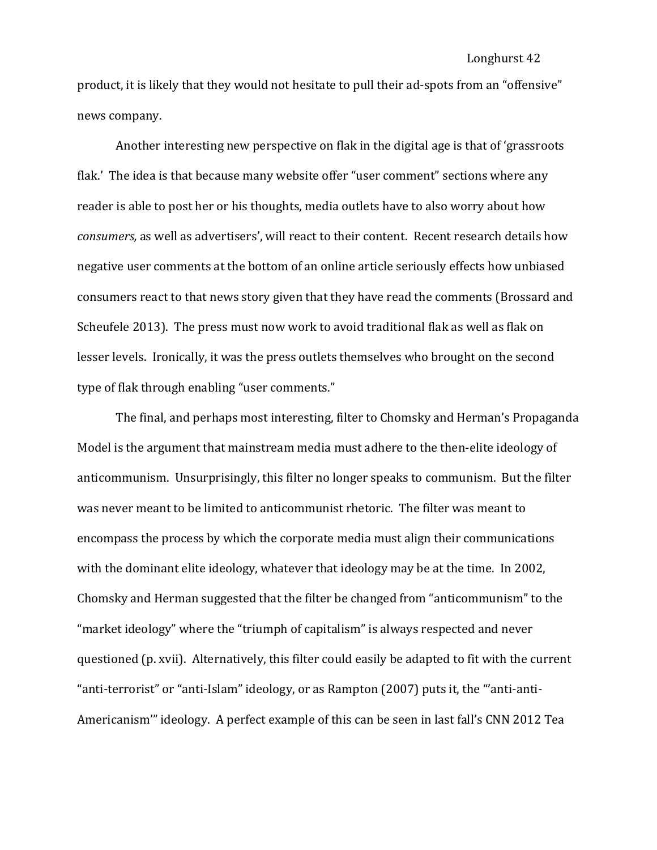product, it is likely that they would not hesitate to pull their ad-spots from an "offensive" news company.

Another interesting new perspective on flak in the digital age is that of 'grassroots flak.' The idea is that because many website offer "user comment" sections where any reader is able to post her or his thoughts, media outlets have to also worry about how *consumers,* as well as advertisers', will react to their content. Recent research details how negative user comments at the bottom of an online article seriously effects how unbiased consumers react to that news story given that they have read the comments (Brossard and Scheufele 2013). The press must now work to avoid traditional flak as well as flak on lesser levels. Ironically, it was the press outlets themselves who brought on the second type of flak through enabling "user comments."

The final, and perhaps most interesting, filter to Chomsky and Herman's Propaganda Model is the argument that mainstream media must adhere to the then-elite ideology of anticommunism. Unsurprisingly, this filter no longer speaks to communism. But the filter was never meant to be limited to anticommunist rhetoric. The filter was meant to encompass the process by which the corporate media must align their communications with the dominant elite ideology, whatever that ideology may be at the time. In 2002, Chomsky and Herman suggested that the filter be changed from "anticommunism" to the "market ideology" where the "triumph of capitalism" is always respected and never questioned (p. xvii). Alternatively, this filter could easily be adapted to fit with the current "anti-terrorist" or "anti-Islam" ideology, or as Rampton (2007) puts it, the "'anti-anti-Americanism'" ideology. A perfect example of this can be seen in last fall's CNN 2012 Tea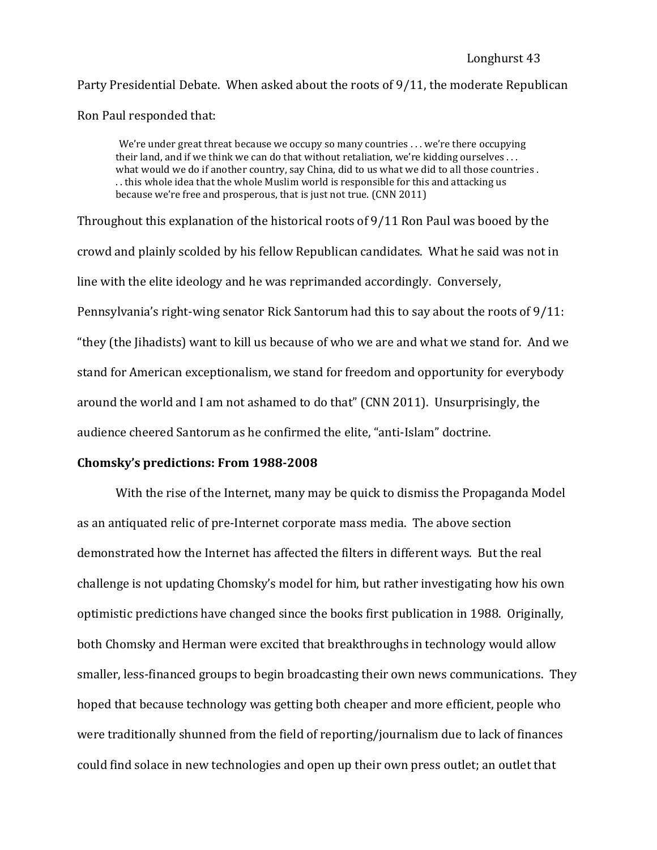## Party Presidential Debate. When asked about the roots of 9/11, the moderate Republican Ron Paul responded that:

We're under great threat because we occupy so many countries ... we're there occupying their land, and if we think we can do that without retaliation, we're kidding ourselves . . . what would we do if another country, say China, did to us what we did to all those countries. . . this whole idea that the whole Muslim world is responsible for this and attacking us because we're free and prosperous, that is just not true. (CNN 2011)

Throughout this explanation of the historical roots of 9/11 Ron Paul was booed by the crowd and plainly scolded by his fellow Republican candidates. What he said was not in line with the elite ideology and he was reprimanded accordingly. Conversely, Pennsylvania's right-wing senator Rick Santorum had this to say about the roots of 9/11: "they (the Jihadists) want to kill us because of who we are and what we stand for. And we stand for American exceptionalism, we stand for freedom and opportunity for everybody around the world and I am not ashamed to do that" (CNN 2011). Unsurprisingly, the audience cheered Santorum as he confirmed the elite, "anti-Islam" doctrine.

#### **Chomsky's predictions: From 1988-2008**

With the rise of the Internet, many may be quick to dismiss the Propaganda Model as an antiquated relic of pre-Internet corporate mass media. The above section demonstrated how the Internet has affected the filters in different ways. But the real challenge is not updating Chomsky's model for him, but rather investigating how his own optimistic predictions have changed since the books first publication in 1988. Originally, both Chomsky and Herman were excited that breakthroughs in technology would allow smaller, less-financed groups to begin broadcasting their own news communications. They hoped that because technology was getting both cheaper and more efficient, people who were traditionally shunned from the field of reporting/journalism due to lack of finances could find solace in new technologies and open up their own press outlet; an outlet that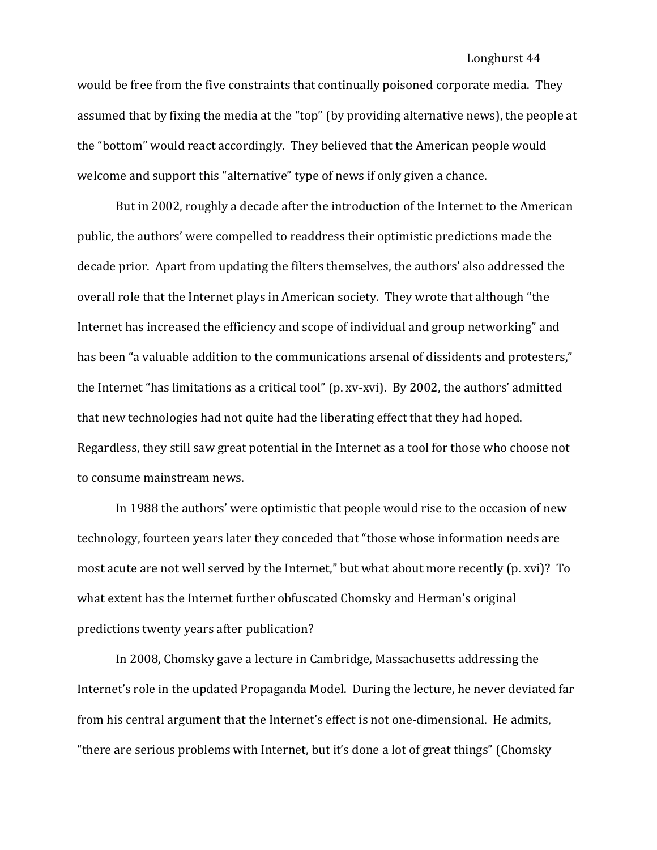would be free from the five constraints that continually poisoned corporate media. They assumed that by fixing the media at the "top" (by providing alternative news), the people at the "bottom" would react accordingly. They believed that the American people would welcome and support this "alternative" type of news if only given a chance.

But in 2002, roughly a decade after the introduction of the Internet to the American public, the authors' were compelled to readdress their optimistic predictions made the decade prior. Apart from updating the filters themselves, the authors' also addressed the overall role that the Internet plays in American society. They wrote that although "the Internet has increased the efficiency and scope of individual and group networking" and has been "a valuable addition to the communications arsenal of dissidents and protesters," the Internet "has limitations as a critical tool" (p. xv-xvi). By 2002, the authors' admitted that new technologies had not quite had the liberating effect that they had hoped. Regardless, they still saw great potential in the Internet as a tool for those who choose not to consume mainstream news.

In 1988 the authors' were optimistic that people would rise to the occasion of new technology, fourteen years later they conceded that "those whose information needs are most acute are not well served by the Internet," but what about more recently (p. xvi)? To what extent has the Internet further obfuscated Chomsky and Herman's original predictions twenty years after publication?

In 2008, Chomsky gave a lecture in Cambridge, Massachusetts addressing the Internet's role in the updated Propaganda Model. During the lecture, he never deviated far from his central argument that the Internet's effect is not one-dimensional. He admits, "there are serious problems with Internet, but it's done a lot of great things" (Chomsky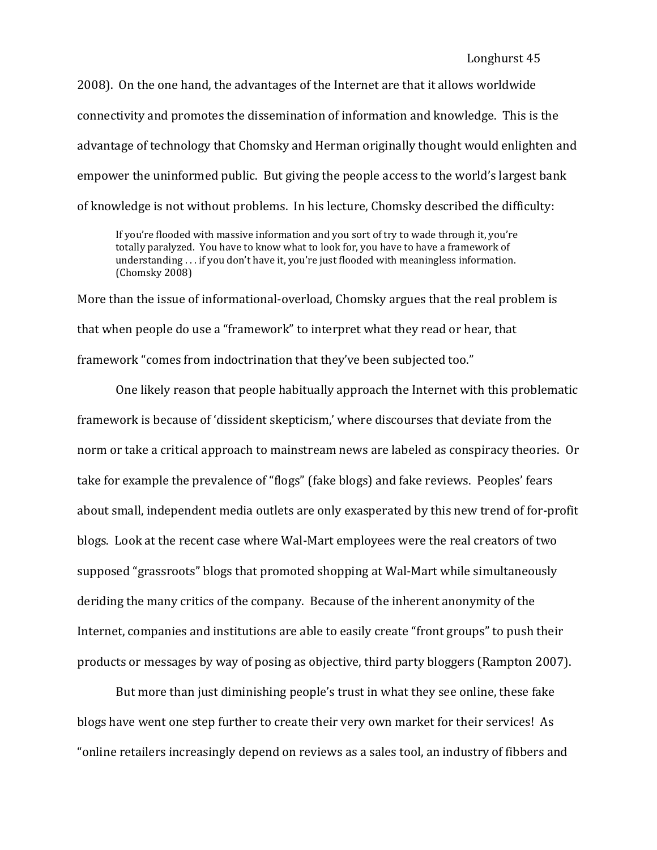2008). On the one hand, the advantages of the Internet are that it allows worldwide connectivity and promotes the dissemination of information and knowledge. This is the advantage of technology that Chomsky and Herman originally thought would enlighten and empower the uninformed public. But giving the people access to the world's largest bank of knowledge is not without problems. In his lecture, Chomsky described the difficulty:

If you're flooded with massive information and you sort of try to wade through it, you're totally paralyzed. You have to know what to look for, you have to have a framework of understanding . . . if you don't have it, you're just flooded with meaningless information. (Chomsky 2008)

More than the issue of informational-overload, Chomsky argues that the real problem is that when people do use a "framework" to interpret what they read or hear, that framework "comes from indoctrination that they've been subjected too."

One likely reason that people habitually approach the Internet with this problematic framework is because of 'dissident skepticism,' where discourses that deviate from the norm or take a critical approach to mainstream news are labeled as conspiracy theories. Or take for example the prevalence of "flogs" (fake blogs) and fake reviews. Peoples' fears about small, independent media outlets are only exasperated by this new trend of for-profit blogs. Look at the recent case where Wal-Mart employees were the real creators of two supposed "grassroots" blogs that promoted shopping at Wal-Mart while simultaneously deriding the many critics of the company. Because of the inherent anonymity of the Internet, companies and institutions are able to easily create "front groups" to push their products or messages by way of posing as objective, third party bloggers (Rampton 2007).

But more than just diminishing people's trust in what they see online, these fake blogs have went one step further to create their very own market for their services! As "online retailers increasingly depend on reviews as a sales tool, an industry of fibbers and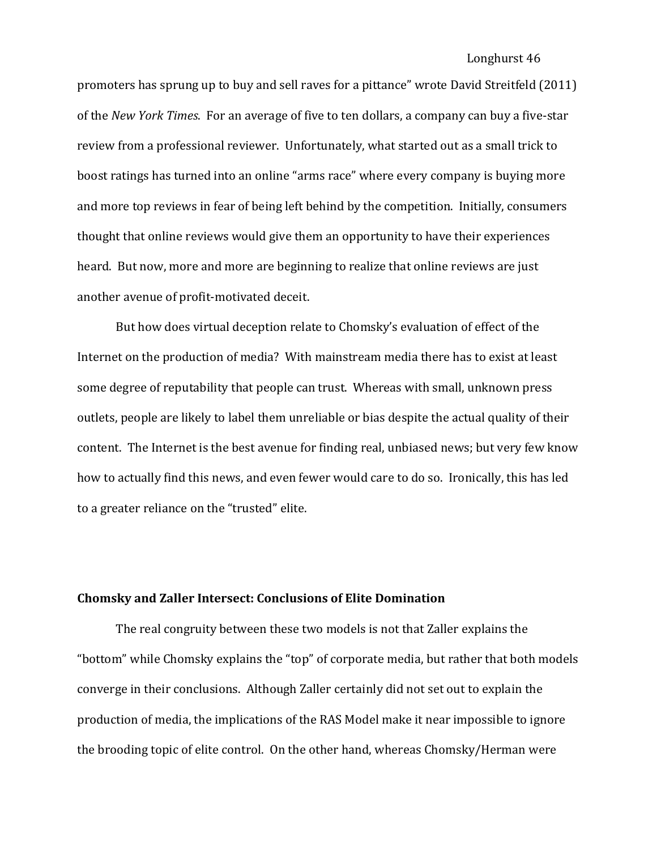promoters has sprung up to buy and sell raves for a pittance" wrote David Streitfeld (2011) of the *New York Times*. For an average of five to ten dollars, a company can buy a five-star review from a professional reviewer. Unfortunately, what started out as a small trick to boost ratings has turned into an online "arms race" where every company is buying more and more top reviews in fear of being left behind by the competition. Initially, consumers thought that online reviews would give them an opportunity to have their experiences heard. But now, more and more are beginning to realize that online reviews are just another avenue of profit-motivated deceit.

But how does virtual deception relate to Chomsky's evaluation of effect of the Internet on the production of media? With mainstream media there has to exist at least some degree of reputability that people can trust. Whereas with small, unknown press outlets, people are likely to label them unreliable or bias despite the actual quality of their content. The Internet is the best avenue for finding real, unbiased news; but very few know how to actually find this news, and even fewer would care to do so. Ironically, this has led to a greater reliance on the "trusted" elite.

## **Chomsky and Zaller Intersect: Conclusions of Elite Domination**

The real congruity between these two models is not that Zaller explains the "bottom" while Chomsky explains the "top" of corporate media, but rather that both models converge in their conclusions. Although Zaller certainly did not set out to explain the production of media, the implications of the RAS Model make it near impossible to ignore the brooding topic of elite control. On the other hand, whereas Chomsky/Herman were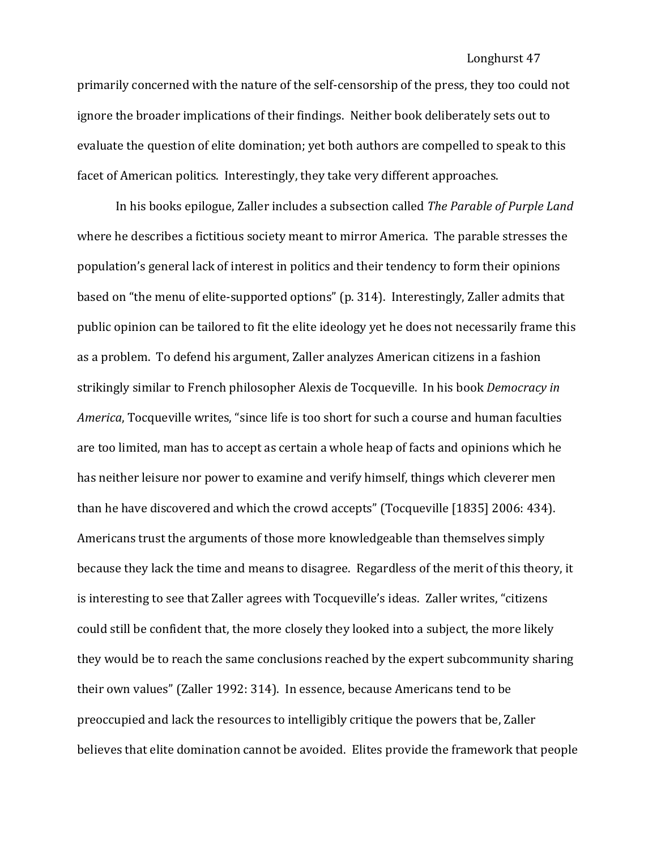primarily concerned with the nature of the self-censorship of the press, they too could not ignore the broader implications of their findings. Neither book deliberately sets out to evaluate the question of elite domination; yet both authors are compelled to speak to this facet of American politics. Interestingly, they take very different approaches.

In his books epilogue, Zaller includes a subsection called *The Parable of Purple Land* where he describes a fictitious society meant to mirror America. The parable stresses the population's general lack of interest in politics and their tendency to form their opinions based on "the menu of elite-supported options" (p. 314). Interestingly, Zaller admits that public opinion can be tailored to fit the elite ideology yet he does not necessarily frame this as a problem. To defend his argument, Zaller analyzes American citizens in a fashion strikingly similar to French philosopher Alexis de Tocqueville. In his book *Democracy in America*, Tocqueville writes, "since life is too short for such a course and human faculties are too limited, man has to accept as certain a whole heap of facts and opinions which he has neither leisure nor power to examine and verify himself, things which cleverer men than he have discovered and which the crowd accepts" (Tocqueville [1835] 2006: 434). Americans trust the arguments of those more knowledgeable than themselves simply because they lack the time and means to disagree. Regardless of the merit of this theory, it is interesting to see that Zaller agrees with Tocqueville's ideas. Zaller writes, "citizens could still be confident that, the more closely they looked into a subject, the more likely they would be to reach the same conclusions reached by the expert subcommunity sharing their own values" (Zaller 1992: 314). In essence, because Americans tend to be preoccupied and lack the resources to intelligibly critique the powers that be, Zaller believes that elite domination cannot be avoided. Elites provide the framework that people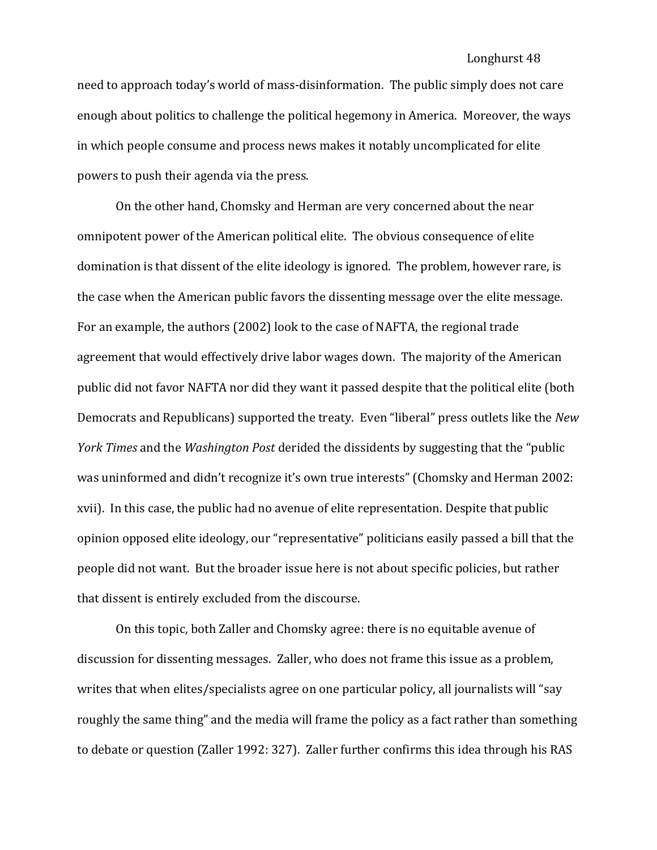need to approach today's world of mass-disinformation. The public simply does not care enough about politics to challenge the political hegemony in America. Moreover, the ways in which people consume and process news makes it notably uncomplicated for elite powers to push their agenda via the press.

On the other hand, Chomsky and Herman are very concerned about the near omnipotent power of the American political elite. The obvious consequence of elite domination is that dissent of the elite ideology is ignored. The problem, however rare, is the case when the American public favors the dissenting message over the elite message. For an example, the authors (2002) look to the case of NAFTA, the regional trade agreement that would effectively drive labor wages down. The majority of the American public did not favor NAFTA nor did they want it passed despite that the political elite (both Democrats and Republicans) supported the treaty. Even "liberal" press outlets like the *New York Times* and the *Washington Post* derided the dissidents by suggesting that the "public was uninformed and didn't recognize it's own true interests" (Chomsky and Herman 2002: xvii). In this case, the public had no avenue of elite representation. Despite that public opinion opposed elite ideology, our "representative" politicians easily passed a bill that the people did not want. But the broader issue here is not about specific policies, but rather that dissent is entirely excluded from the discourse.

On this topic, both Zaller and Chomsky agree: there is no equitable avenue of discussion for dissenting messages. Zaller, who does not frame this issue as a problem, writes that when elites/specialists agree on one particular policy, all journalists will "say roughly the same thing" and the media will frame the policy as a fact rather than something to debate or question (Zaller 1992: 327). Zaller further confirms this idea through his RAS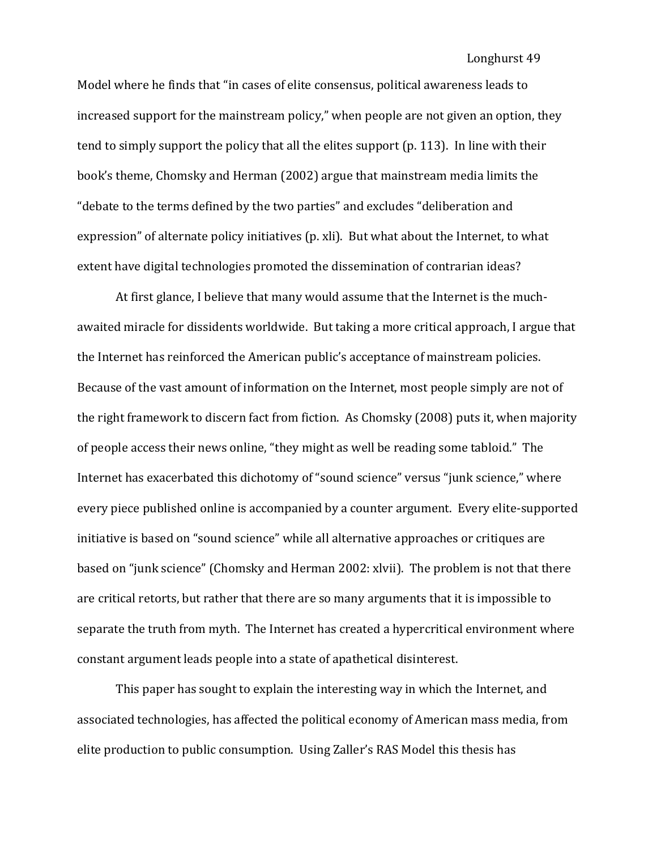Model where he finds that "in cases of elite consensus, political awareness leads to increased support for the mainstream policy," when people are not given an option, they tend to simply support the policy that all the elites support (p. 113). In line with their book's theme, Chomsky and Herman (2002) argue that mainstream media limits the "debate to the terms defined by the two parties" and excludes "deliberation and expression" of alternate policy initiatives (p. xli). But what about the Internet, to what extent have digital technologies promoted the dissemination of contrarian ideas?

At first glance, I believe that many would assume that the Internet is the muchawaited miracle for dissidents worldwide. But taking a more critical approach, I argue that the Internet has reinforced the American public's acceptance of mainstream policies. Because of the vast amount of information on the Internet, most people simply are not of the right framework to discern fact from fiction. As Chomsky (2008) puts it, when majority of people access their news online, "they might as well be reading some tabloid." The Internet has exacerbated this dichotomy of "sound science" versus "junk science," where every piece published online is accompanied by a counter argument. Every elite-supported initiative is based on "sound science" while all alternative approaches or critiques are based on "junk science" (Chomsky and Herman 2002: xlvii). The problem is not that there are critical retorts, but rather that there are so many arguments that it is impossible to separate the truth from myth. The Internet has created a hypercritical environment where constant argument leads people into a state of apathetical disinterest.

This paper has sought to explain the interesting way in which the Internet, and associated technologies, has affected the political economy of American mass media, from elite production to public consumption. Using Zaller's RAS Model this thesis has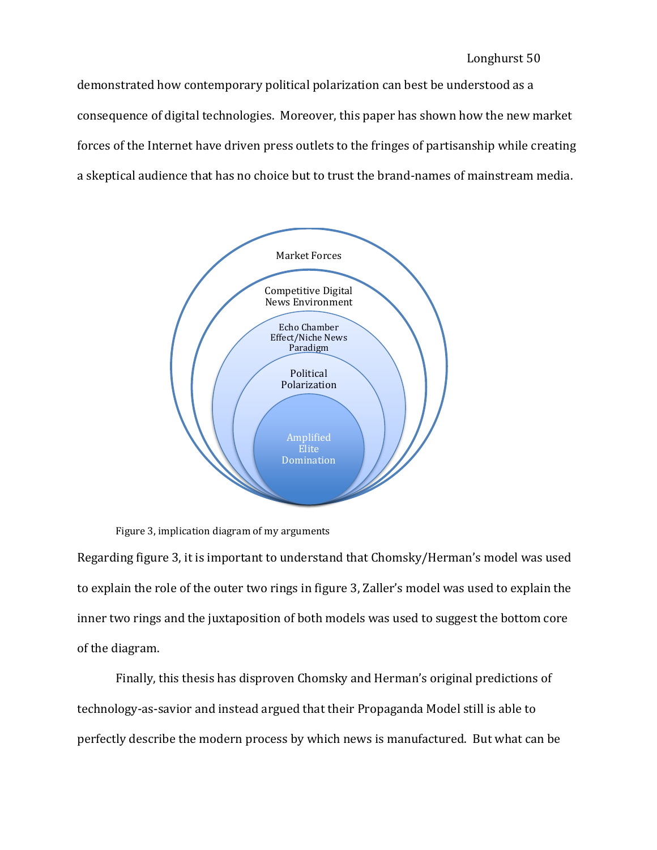demonstrated how contemporary political polarization can best be understood as a consequence of digital technologies. Moreover, this paper has shown how the new market forces of the Internet have driven press outlets to the fringes of partisanship while creating a skeptical audience that has no choice but to trust the brand-names of mainstream media.



Figure 3, implication diagram of my arguments

Regarding figure 3, it is important to understand that Chomsky/Herman's model was used to explain the role of the outer two rings in figure 3, Zaller's model was used to explain the inner two rings and the juxtaposition of both models was used to suggest the bottom core of the diagram.

Finally, this thesis has disproven Chomsky and Herman's original predictions of technology-as-savior and instead argued that their Propaganda Model still is able to perfectly describe the modern process by which news is manufactured. But what can be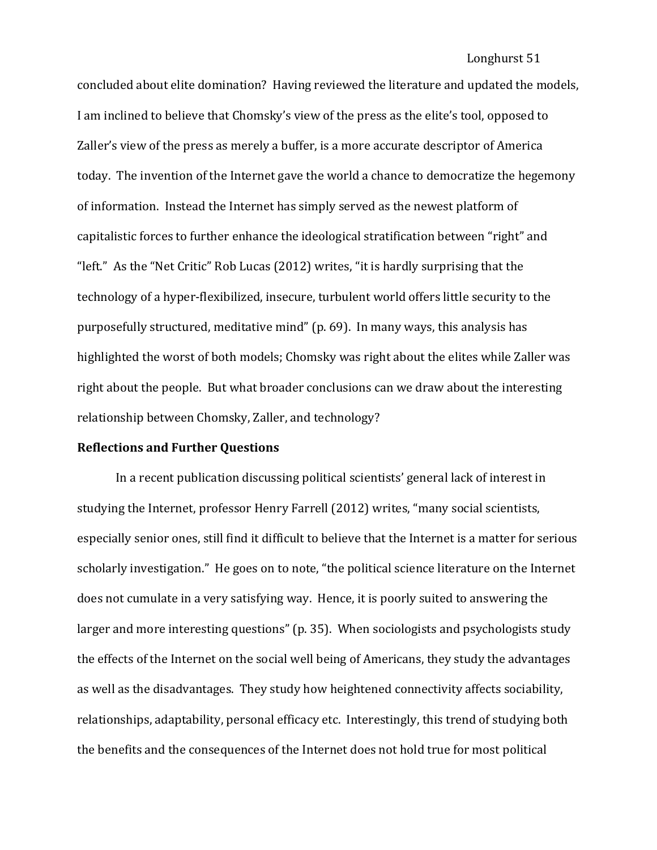concluded about elite domination? Having reviewed the literature and updated the models, I am inclined to believe that Chomsky's view of the press as the elite's tool, opposed to Zaller's view of the press as merely a buffer, is a more accurate descriptor of America today. The invention of the Internet gave the world a chance to democratize the hegemony of information. Instead the Internet has simply served as the newest platform of capitalistic forces to further enhance the ideological stratification between "right" and "left." As the "Net Critic" Rob Lucas (2012) writes, "it is hardly surprising that the technology of a hyper-flexibilized, insecure, turbulent world offers little security to the purposefully structured, meditative mind" (p. 69). In many ways, this analysis has highlighted the worst of both models; Chomsky was right about the elites while Zaller was right about the people. But what broader conclusions can we draw about the interesting relationship between Chomsky, Zaller, and technology?

## **Reflections and Further Questions**

In a recent publication discussing political scientists' general lack of interest in studying the Internet, professor Henry Farrell (2012) writes, "many social scientists, especially senior ones, still find it difficult to believe that the Internet is a matter for serious scholarly investigation." He goes on to note, "the political science literature on the Internet does not cumulate in a very satisfying way. Hence, it is poorly suited to answering the larger and more interesting questions" (p. 35). When sociologists and psychologists study the effects of the Internet on the social well being of Americans, they study the advantages as well as the disadvantages. They study how heightened connectivity affects sociability, relationships, adaptability, personal efficacy etc. Interestingly, this trend of studying both the benefits and the consequences of the Internet does not hold true for most political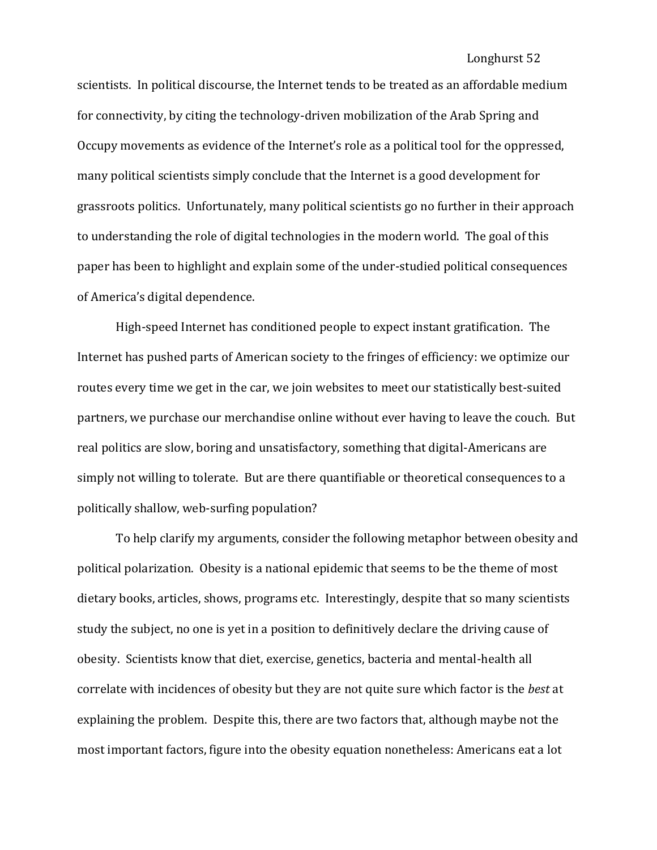scientists. In political discourse, the Internet tends to be treated as an affordable medium for connectivity, by citing the technology-driven mobilization of the Arab Spring and Occupy movements as evidence of the Internet's role as a political tool for the oppressed, many political scientists simply conclude that the Internet is a good development for grassroots politics. Unfortunately, many political scientists go no further in their approach to understanding the role of digital technologies in the modern world. The goal of this paper has been to highlight and explain some of the under-studied political consequences of America's digital dependence.

High-speed Internet has conditioned people to expect instant gratification. The Internet has pushed parts of American society to the fringes of efficiency: we optimize our routes every time we get in the car, we join websites to meet our statistically best-suited partners, we purchase our merchandise online without ever having to leave the couch. But real politics are slow, boring and unsatisfactory, something that digital-Americans are simply not willing to tolerate. But are there quantifiable or theoretical consequences to a politically shallow, web-surfing population?

To help clarify my arguments, consider the following metaphor between obesity and political polarization. Obesity is a national epidemic that seems to be the theme of most dietary books, articles, shows, programs etc. Interestingly, despite that so many scientists study the subject, no one is yet in a position to definitively declare the driving cause of obesity. Scientists know that diet, exercise, genetics, bacteria and mental-health all correlate with incidences of obesity but they are not quite sure which factor is the *best* at explaining the problem. Despite this, there are two factors that, although maybe not the most important factors, figure into the obesity equation nonetheless: Americans eat a lot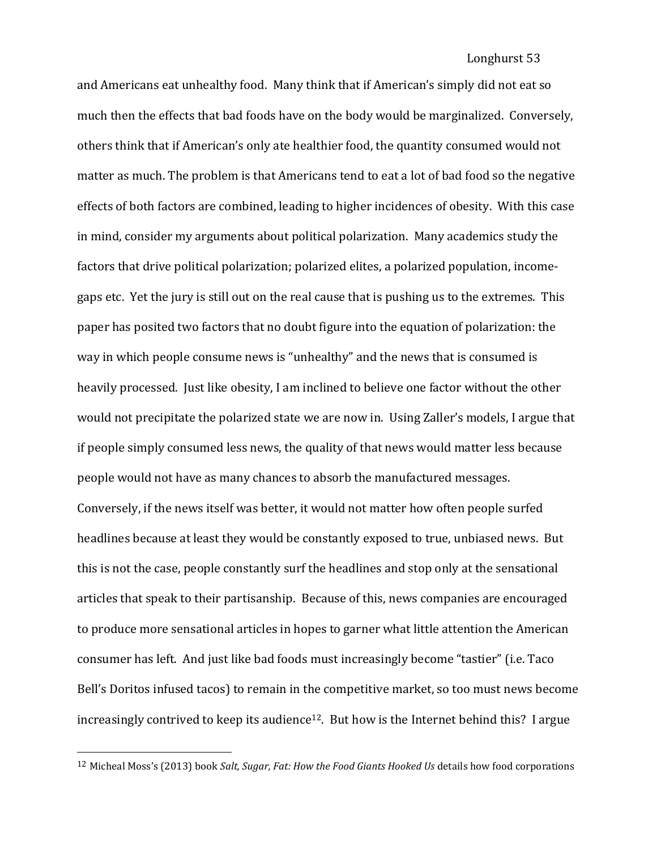and Americans eat unhealthy food. Many think that if American's simply did not eat so much then the effects that bad foods have on the body would be marginalized. Conversely, others think that if American's only ate healthier food, the quantity consumed would not matter as much. The problem is that Americans tend to eat a lot of bad food so the negative effects of both factors are combined, leading to higher incidences of obesity. With this case in mind, consider my arguments about political polarization. Many academics study the factors that drive political polarization; polarized elites, a polarized population, incomegaps etc. Yet the jury is still out on the real cause that is pushing us to the extremes. This paper has posited two factors that no doubt figure into the equation of polarization: the way in which people consume news is "unhealthy" and the news that is consumed is heavily processed. Just like obesity, I am inclined to believe one factor without the other would not precipitate the polarized state we are now in. Using Zaller's models, I argue that if people simply consumed less news, the quality of that news would matter less because people would not have as many chances to absorb the manufactured messages. Conversely, if the news itself was better, it would not matter how often people surfed headlines because at least they would be constantly exposed to true, unbiased news. But this is not the case, people constantly surf the headlines and stop only at the sensational articles that speak to their partisanship. Because of this, news companies are encouraged to produce more sensational articles in hopes to garner what little attention the American consumer has left. And just like bad foods must increasingly become "tastier" (i.e. Taco Bell's Doritos infused tacos) to remain in the competitive market, so too must news become increasingly contrived to keep its audience<sup>12</sup>. But how is the Internet behind this? I argue

l

<sup>12</sup> Micheal Moss's (2013) book *Salt, Sugar, Fat: How the Food Giants Hooked Us* details how food corporations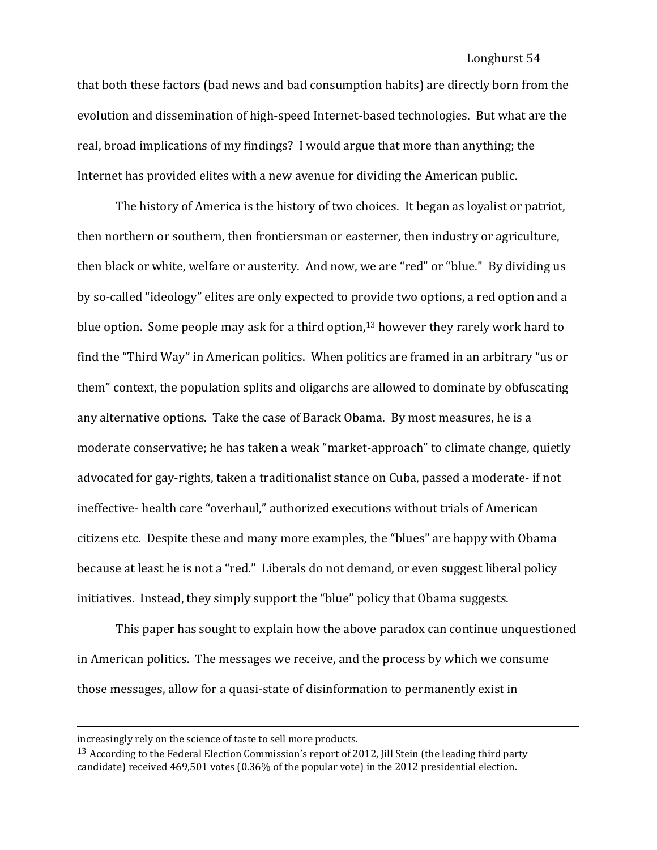that both these factors (bad news and bad consumption habits) are directly born from the evolution and dissemination of high-speed Internet-based technologies. But what are the real, broad implications of my findings? I would argue that more than anything; the Internet has provided elites with a new avenue for dividing the American public.

The history of America is the history of two choices. It began as loyalist or patriot, then northern or southern, then frontiersman or easterner, then industry or agriculture, then black or white, welfare or austerity. And now, we are "red" or "blue." By dividing us by so-called "ideology" elites are only expected to provide two options, a red option and a blue option. Some people may ask for a third option, $13$  however they rarely work hard to find the "Third Way" in American politics. When politics are framed in an arbitrary "us or them" context, the population splits and oligarchs are allowed to dominate by obfuscating any alternative options. Take the case of Barack Obama. By most measures, he is a moderate conservative; he has taken a weak "market-approach" to climate change, quietly advocated for gay-rights, taken a traditionalist stance on Cuba, passed a moderate- if not ineffective- health care "overhaul," authorized executions without trials of American citizens etc. Despite these and many more examples, the "blues" are happy with Obama because at least he is not a "red." Liberals do not demand, or even suggest liberal policy initiatives. Instead, they simply support the "blue" policy that Obama suggests.

This paper has sought to explain how the above paradox can continue unquestioned in American politics. The messages we receive, and the process by which we consume those messages, allow for a quasi-state of disinformation to permanently exist in

 $\overline{\phantom{a}}$ 

increasingly rely on the science of taste to sell more products.

<sup>&</sup>lt;sup>13</sup> According to the Federal Election Commission's report of 2012, Jill Stein (the leading third party candidate) received 469,501 votes (0.36% of the popular vote) in the 2012 presidential election.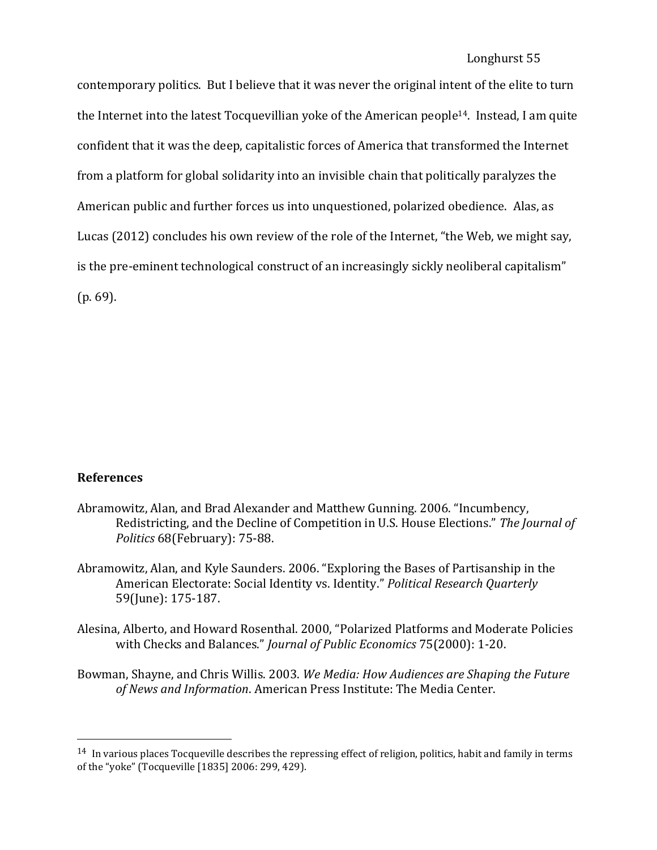contemporary politics. But I believe that it was never the original intent of the elite to turn the Internet into the latest Tocquevillian yoke of the American people14. Instead, I am quite confident that it was the deep, capitalistic forces of America that transformed the Internet from a platform for global solidarity into an invisible chain that politically paralyzes the American public and further forces us into unquestioned, polarized obedience. Alas, as Lucas (2012) concludes his own review of the role of the Internet, "the Web, we might say, is the pre-eminent technological construct of an increasingly sickly neoliberal capitalism" (p. 69).

## **References**

 $\overline{\phantom{a}}$ 

- Abramowitz, Alan, and Brad Alexander and Matthew Gunning. 2006. "Incumbency, Redistricting, and the Decline of Competition in U.S. House Elections." *The Journal of Politics* 68(February): 75-88.
- Abramowitz, Alan, and Kyle Saunders. 2006. "Exploring the Bases of Partisanship in the American Electorate: Social Identity vs. Identity." *Political Research Quarterly* 59(June): 175-187.
- Alesina, Alberto, and Howard Rosenthal. 2000, "Polarized Platforms and Moderate Policies with Checks and Balances." *Journal of Public Economics* 75(2000): 1-20.
- Bowman, Shayne, and Chris Willis. 2003. *We Media: How Audiences are Shaping the Future of News and Information*. American Press Institute: The Media Center.

 $14$  In various places Tocqueville describes the repressing effect of religion, politics, habit and family in terms of the "yoke" (Tocqueville [1835] 2006: 299, 429).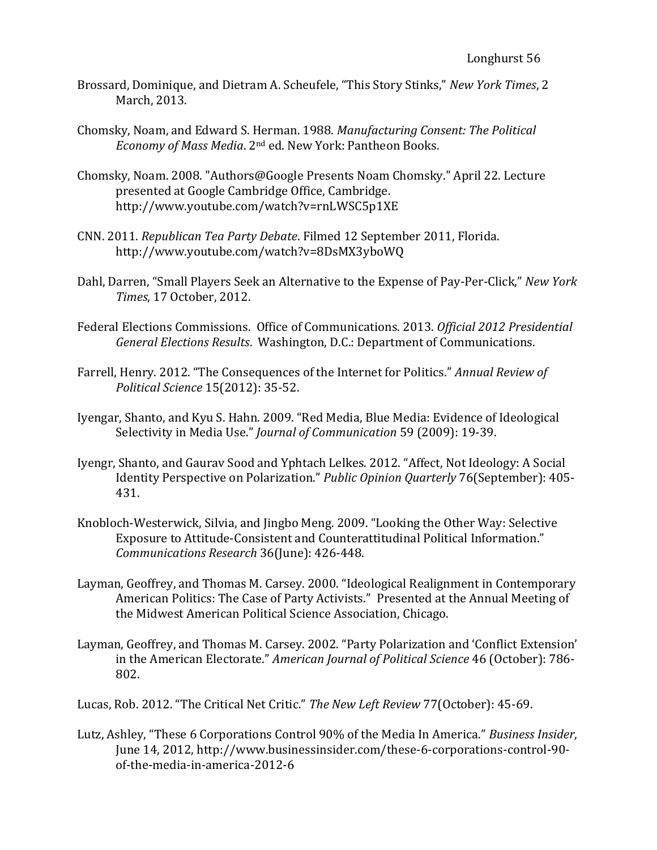- Brossard, Dominique, and Dietram A. Scheufele, "This Story Stinks," *New York Times*, 2 March, 2013.
- Chomsky, Noam, and Edward S. Herman. 1988. *Manufacturing Consent: The Political Economy of Mass Media*. 2nd ed. New York: Pantheon Books.
- Chomsky, Noam. 2008. "Authors@Google Presents Noam Chomsky." April 22. Lecture presented at Google Cambridge Office, Cambridge. http://www.youtube.com/watch?v=rnLWSC5p1XE
- CNN. 2011. *Republican Tea Party Debate*. Filmed 12 September 2011, Florida. http://www.youtube.com/watch?v=8DsMX3yboWQ
- Dahl, Darren, "Small Players Seek an Alternative to the Expense of Pay-Per-Click," *New York Times*, 17 October, 2012.
- Federal Elections Commissions. Office of Communications. 2013. *Official 2012 Presidential General Elections Results*. Washington, D.C.: Department of Communications.
- Farrell, Henry. 2012. "The Consequences of the Internet for Politics." *Annual Review of Political Science* 15(2012): 35-52.
- Iyengar, Shanto, and Kyu S. Hahn. 2009. "Red Media, Blue Media: Evidence of Ideological Selectivity in Media Use." *Journal of Communication* 59 (2009): 19-39.
- Iyengr, Shanto, and Gaurav Sood and Yphtach Lelkes. 2012. "Affect, Not Ideology: A Social Identity Perspective on Polarization." *Public Opinion Quarterly* 76(September): 405- 431.
- Knobloch-Westerwick, Silvia, and Jingbo Meng. 2009. "Looking the Other Way: Selective Exposure to Attitude-Consistent and Counterattitudinal Political Information." *Communications Research* 36(June): 426-448.
- Layman, Geoffrey, and Thomas M. Carsey. 2000. "Ideological Realignment in Contemporary American Politics: The Case of Party Activists." Presented at the Annual Meeting of the Midwest American Political Science Association, Chicago.
- Layman, Geoffrey, and Thomas M. Carsey. 2002. "Party Polarization and 'Conflict Extension' in the American Electorate." *American Journal of Political Science* 46 (October): 786- 802.
- Lucas, Rob. 2012. "The Critical Net Critic." *The New Left Review* 77(October): 45-69.
- Lutz, Ashley, "These 6 Corporations Control 90% of the Media In America." *Business Insider*, June 14, 2012, http://www.businessinsider.com/these-6-corporations-control-90 of-the-media-in-america-2012-6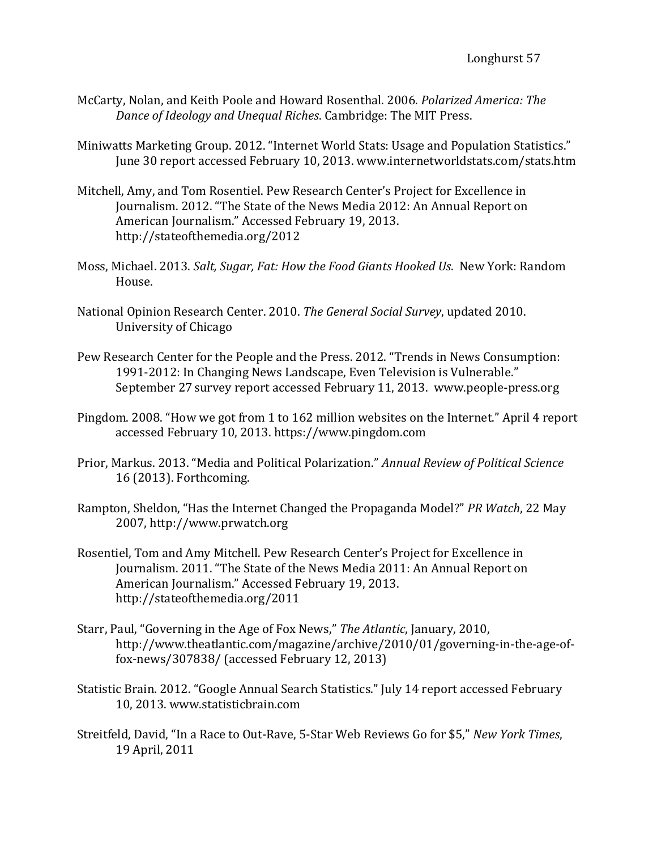- McCarty, Nolan, and Keith Poole and Howard Rosenthal. 2006. *Polarized America: The Dance of Ideology and Unequal Riches*. Cambridge: The MIT Press.
- Miniwatts Marketing Group. 2012. "Internet World Stats: Usage and Population Statistics." June 30 report accessed February 10, 2013. www.internetworldstats.com/stats.htm
- Mitchell, Amy, and Tom Rosentiel. Pew Research Center's Project for Excellence in Journalism. 2012. "The State of the News Media 2012: An Annual Report on American Journalism." Accessed February 19, 2013. http://stateofthemedia.org/2012
- Moss, Michael. 2013. *Salt, Sugar, Fat: How the Food Giants Hooked Us*. New York: Random House.
- National Opinion Research Center. 2010. *The General Social Survey*, updated 2010. University of Chicago
- Pew Research Center for the People and the Press. 2012. "Trends in News Consumption: 1991-2012: In Changing News Landscape, Even Television is Vulnerable." September 27 survey report accessed February 11, 2013. www.people-press.org
- Pingdom. 2008. "How we got from 1 to 162 million websites on the Internet." April 4 report accessed February 10, 2013. https://www.pingdom.com
- Prior, Markus. 2013. "Media and Political Polarization." *Annual Review of Political Science* 16 (2013). Forthcoming.
- Rampton, Sheldon, "Has the Internet Changed the Propaganda Model?" *PR Watch*, 22 May 2007, http://www.prwatch.org
- Rosentiel, Tom and Amy Mitchell. Pew Research Center's Project for Excellence in Journalism. 2011. "The State of the News Media 2011: An Annual Report on American Journalism." Accessed February 19, 2013. http://stateofthemedia.org/2011
- Starr, Paul, "Governing in the Age of Fox News," *The Atlantic*, January, 2010, http://www.theatlantic.com/magazine/archive/2010/01/governing-in-the-age-offox-news/307838/ (accessed February 12, 2013)
- Statistic Brain. 2012. "Google Annual Search Statistics." July 14 report accessed February 10, 2013. www.statisticbrain.com
- Streitfeld, David, "In a Race to Out-Rave, 5-Star Web Reviews Go for \$5," *New York Times*, 19 April, 2011